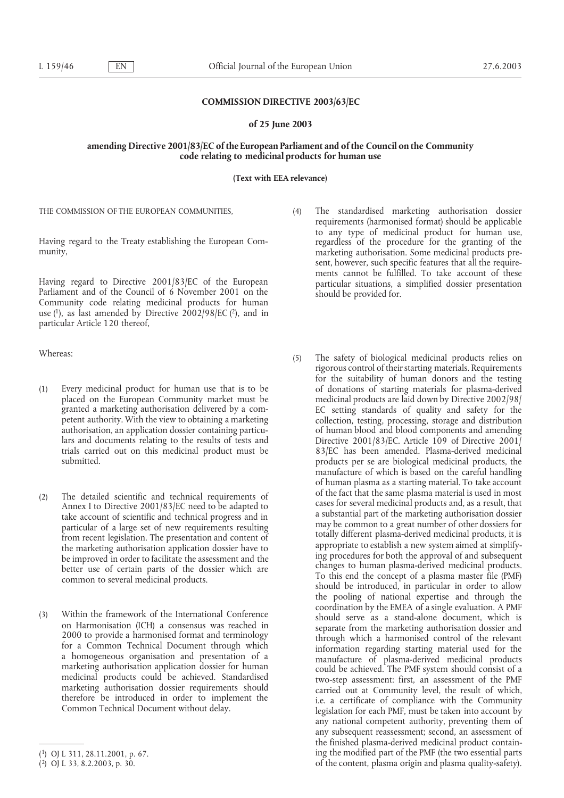#### **COMMISSION DIRECTIVE 2003/63/EC**

#### **of 25 June 2003**

## **amending Directive 2001/83/EC of the European Parliament and of the Council on the Community code relating to medicinal products for human use**

**(Text with EEA relevance)**

THE COMMISSION OF THE EUROPEAN COMMUNITIES,

Having regard to the Treaty establishing the European Community,

Having regard to Directive 2001/83/EC of the European Parliament and of the Council of 6 November 2001 on the Community code relating medicinal products for human use  $(1)$ , as last amended by Directive 2002/98/EC  $(2)$ , and in particular Article 120 thereof,

Whereas:

- (1) Every medicinal product for human use that is to be placed on the European Community market must be granted a marketing authorisation delivered by a competent authority. With the view to obtaining a marketing authorisation, an application dossier containing particulars and documents relating to the results of tests and trials carried out on this medicinal product must be submitted.
- (2) The detailed scientific and technical requirements of Annex I to Directive 2001/83/EC need to be adapted to take account of scientific and technical progress and in particular of a large set of new requirements resulting from recent legislation. The presentation and content of the marketing authorisation application dossier have to be improved in order to facilitate the assessment and the better use of certain parts of the dossier which are common to several medicinal products.
- (3) Within the framework of the International Conference on Harmonisation (ICH) a consensus was reached in 2000 to provide a harmonised format and terminology for a Common Technical Document through which a homogeneous organisation and presentation of a marketing authorisation application dossier for human medicinal products could be achieved. Standardised marketing authorisation dossier requirements should therefore be introduced in order to implement the Common Technical Document without delay.
- (4) The standardised marketing authorisation dossier requirements (harmonised format) should be applicable to any type of medicinal product for human use, regardless of the procedure for the granting of the marketing authorisation. Some medicinal products present, however, such specific features that all the requirements cannot be fulfilled. To take account of these particular situations, a simplified dossier presentation should be provided for.
- (5) The safety of biological medicinal products relies on rigorous control of their starting materials. Requirements for the suitability of human donors and the testing of donations of starting materials for plasma-derived medicinal products are laid down by Directive 2002/98/ EC setting standards of quality and safety for the collection, testing, processing, storage and distribution of human blood and blood components and amending Directive 2001/83/EC. Article 109 of Directive 2001/ 83/EC has been amended. Plasma-derived medicinal products per se are biological medicinal products, the manufacture of which is based on the careful handling of human plasma as a starting material. To take account of the fact that the same plasma material is used in most cases for several medicinal products and, as a result, that a substantial part of the marketing authorisation dossier may be common to a great number of other dossiers for totally different plasma-derived medicinal products, it is appropriate to establish a new system aimed at simplifying procedures for both the approval of and subsequent changes to human plasma-derived medicinal products. To this end the concept of a plasma master file (PMF) should be introduced, in particular in order to allow the pooling of national expertise and through the coordination by the EMEA of a single evaluation. A PMF should serve as a stand-alone document, which is separate from the marketing authorisation dossier and through which a harmonised control of the relevant information regarding starting material used for the manufacture of plasma-derived medicinal products could be achieved. The PMF system should consist of a two-step assessment: first, an assessment of the PMF carried out at Community level, the result of which, i.e. a certificate of compliance with the Community legislation for each PMF, must be taken into account by any national competent authority, preventing them of any subsequent reassessment; second, an assessment of the finished plasma-derived medicinal product containing the modified part of the PMF (the two essential parts of the content, plasma origin and plasma quality-safety).

<sup>(</sup>1) OJ L 311, 28.11.2001, p. 67.

 $(2)$  OJ L 33, 8.2.2003, p. 30.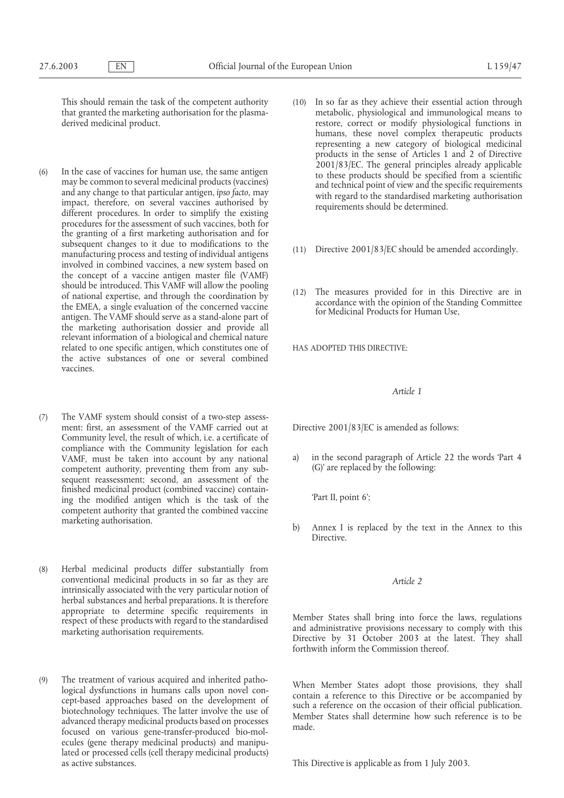This should remain the task of the competent authority that granted the marketing authorisation for the plasmaderived medicinal product.

- (6) In the case of vaccines for human use, the same antigen may be common to several medicinal products (vaccines) and any change to that particular antigen, *ipso facto*, may impact, therefore, on several vaccines authorised by different procedures. In order to simplify the existing procedures for the assessment of such vaccines, both for the granting of a first marketing authorisation and for subsequent changes to it due to modifications to the manufacturing process and testing of individual antigens involved in combined vaccines, a new system based on the concept of a vaccine antigen master file (VAMF) should be introduced. This VAMF will allow the pooling of national expertise, and through the coordination by the EMEA, a single evaluation of the concerned vaccine antigen. The VAMF should serve as a stand-alone part of the marketing authorisation dossier and provide all relevant information of a biological and chemical nature related to one specific antigen, which constitutes one of the active substances of one or several combined vaccines.
- (7) The VAMF system should consist of a two-step assessment: first, an assessment of the VAMF carried out at Community level, the result of which, i.e. a certificate of compliance with the Community legislation for each VAMF, must be taken into account by any national competent authority, preventing them from any subsequent reassessment; second, an assessment of the finished medicinal product (combined vaccine) containing the modified antigen which is the task of the competent authority that granted the combined vaccine marketing authorisation.
- (8) Herbal medicinal products differ substantially from conventional medicinal products in so far as they are intrinsically associated with the very particular notion of herbal substances and herbal preparations. It is therefore appropriate to determine specific requirements in respect of these products with regard to the standardised marketing authorisation requirements.
- (9) The treatment of various acquired and inherited pathological dysfunctions in humans calls upon novel concept-based approaches based on the development of biotechnology techniques. The latter involve the use of advanced therapy medicinal products based on processes focused on various gene-transfer-produced bio-molecules (gene therapy medicinal products) and manipulated or processed cells (cell therapy medicinal products) as active substances.
- (10) In so far as they achieve their essential action through metabolic, physiological and immunological means to restore, correct or modify physiological functions in humans, these novel complex therapeutic products representing a new category of biological medicinal products in the sense of Articles 1 and 2 of Directive 2001/83/EC. The general principles already applicable to these products should be specified from a scientific and technical point of view and the specific requirements with regard to the standardised marketing authorisation requirements should be determined.
- (11) Directive 2001/83/EC should be amended accordingly.
- (12) The measures provided for in this Directive are in accordance with the opinion of the Standing Committee for Medicinal Products for Human Use,

HAS ADOPTED THIS DIRECTIVE:

# *Article 1*

Directive 2001/83/EC is amended as follows:

a) in the second paragraph of Article 22 the words 'Part 4 (G)' are replaced by the following:

'Part II, point 6';

b) Annex I is replaced by the text in the Annex to this Directive.

# *Article 2*

Member States shall bring into force the laws, regulations and administrative provisions necessary to comply with this Directive by 31 October 2003 at the latest. They shall forthwith inform the Commission thereof.

When Member States adopt those provisions, they shall contain a reference to this Directive or be accompanied by such a reference on the occasion of their official publication. Member States shall determine how such reference is to be made.

This Directive is applicable as from 1 July 2003.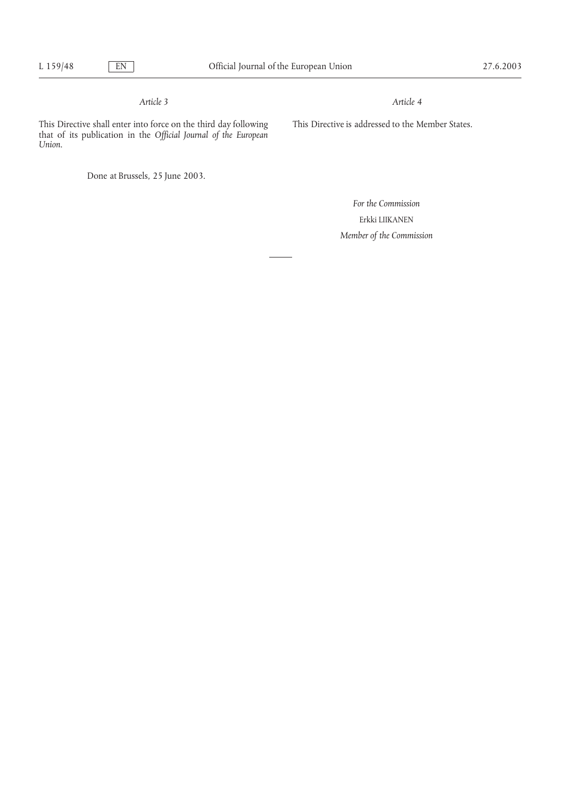# *Article 3*

*Article 4*

This Directive shall enter into force on the third day following that of its publication in the *Official Journal of the European Union*.

Done at Brussels, 25 June 2003.

*For the Commission* Erkki LIIKANEN *Member of the Commission*

This Directive is addressed to the Member States.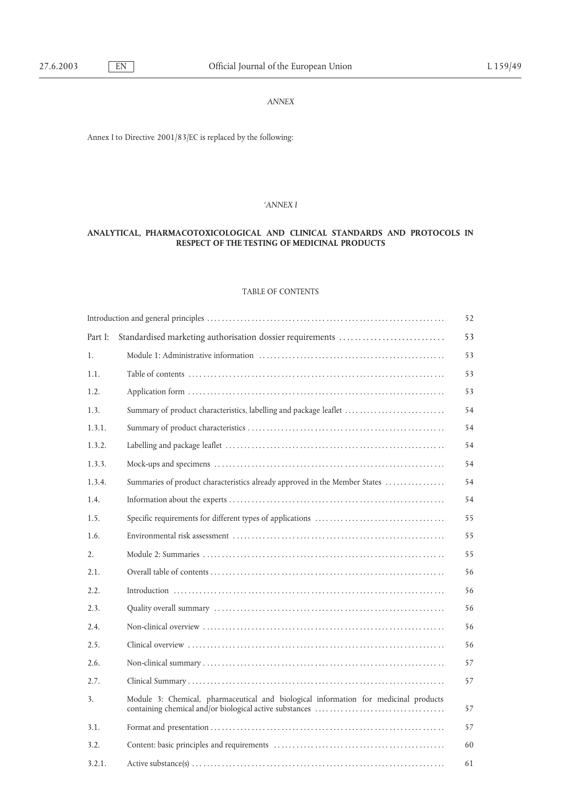# *ANNEX*

Annex I to Directive 2001/83/EC is replaced by the following:

## *'ANNEX I*

# **ANALYTICAL, PHARMACOTOXICOLOGICAL AND CLINICAL STANDARDS AND PROTOCOLS IN RESPECT OF THE TESTING OF MEDICINAL PRODUCTS**

# TABLE OF CONTENTS

|         |                                                                                      | 52 |
|---------|--------------------------------------------------------------------------------------|----|
| Part I: | Standardised marketing authorisation dossier requirements                            | 53 |
| 1.      |                                                                                      | 53 |
| 1.1.    |                                                                                      | 53 |
| 1.2.    |                                                                                      | 53 |
| 1.3.    | Summary of product characteristics, labelling and package leaflet                    | 54 |
| 1.3.1.  |                                                                                      | 54 |
| 1.3.2.  |                                                                                      | 54 |
| 1.3.3.  |                                                                                      | 54 |
| 1.3.4.  | Summaries of product characteristics already approved in the Member States           | 54 |
| 1.4.    |                                                                                      | 54 |
| 1.5.    |                                                                                      | 55 |
| 1.6.    |                                                                                      | 55 |
| 2.      |                                                                                      | 55 |
| 2.1.    |                                                                                      | 56 |
| 2.2.    |                                                                                      | 56 |
| 2.3.    |                                                                                      | 56 |
| 2.4.    |                                                                                      | 56 |
| 2.5.    |                                                                                      | 56 |
| 2.6.    |                                                                                      | 57 |
| 2.7.    |                                                                                      | 57 |
| 3.      | Module 3: Chemical, pharmaceutical and biological information for medicinal products | 57 |
| 3.1.    |                                                                                      | 57 |
| 3.2.    |                                                                                      | 60 |
| 3.2.1.  |                                                                                      | 61 |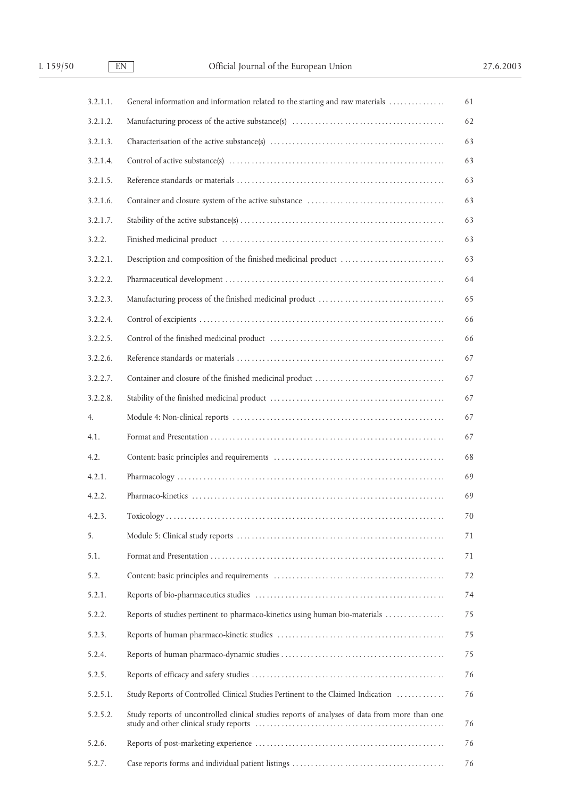| 3.2.1.1. | General information and information related to the starting and raw materials                 | 61 |
|----------|-----------------------------------------------------------------------------------------------|----|
| 3.2.1.2. |                                                                                               | 62 |
| 3.2.1.3. |                                                                                               | 63 |
| 3.2.1.4. |                                                                                               | 63 |
| 3.2.1.5. |                                                                                               | 63 |
| 3.2.1.6. |                                                                                               | 63 |
| 3.2.1.7. |                                                                                               | 63 |
| 3.2.2.   |                                                                                               | 63 |
| 3.2.2.1. |                                                                                               | 63 |
| 3.2.2.2. |                                                                                               | 64 |
| 3.2.2.3. |                                                                                               | 65 |
| 3.2.2.4. |                                                                                               | 66 |
| 3.2.2.5. |                                                                                               | 66 |
| 3.2.2.6. |                                                                                               | 67 |
| 3.2.2.7. |                                                                                               | 67 |
| 3.2.2.8. |                                                                                               | 67 |
| 4.       |                                                                                               | 67 |
| 4.1.     |                                                                                               | 67 |
| 4.2.     |                                                                                               | 68 |
| 4.2.1.   |                                                                                               | 69 |
| 4.2.2.   |                                                                                               | 69 |
| 4.2.3.   |                                                                                               | 70 |
| 5.       |                                                                                               | 71 |
| 5.1.     |                                                                                               | 71 |
| 5.2.     |                                                                                               | 72 |
| 5.2.1.   |                                                                                               | 74 |
| 5.2.2.   | Reports of studies pertinent to pharmaco-kinetics using human bio-materials                   | 75 |
| 5.2.3.   |                                                                                               | 75 |
| 5.2.4.   |                                                                                               | 75 |
| 5.2.5.   |                                                                                               | 76 |
| 5.2.5.1. | Study Reports of Controlled Clinical Studies Pertinent to the Claimed Indication              | 76 |
| 5.2.5.2. | Study reports of uncontrolled clinical studies reports of analyses of data from more than one | 76 |
| 5.2.6.   |                                                                                               | 76 |
| 5.2.7.   |                                                                                               | 76 |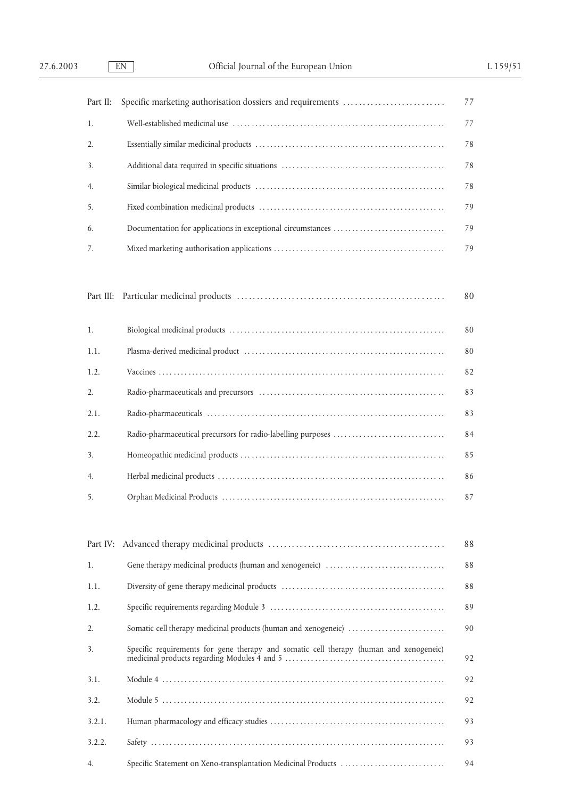| Part II:  | Specific marketing authorisation dossiers and requirements                             | 77 |
|-----------|----------------------------------------------------------------------------------------|----|
| 1.        |                                                                                        | 77 |
| 2.        |                                                                                        | 78 |
| 3.        |                                                                                        | 78 |
| 4.        |                                                                                        | 78 |
| 5.        |                                                                                        | 79 |
| 6.        |                                                                                        | 79 |
| 7.        |                                                                                        | 79 |
|           |                                                                                        |    |
| Part III: |                                                                                        | 80 |
| 1.        |                                                                                        | 80 |
| 1.1.      |                                                                                        | 80 |
| 1.2.      |                                                                                        | 82 |
| 2.        |                                                                                        | 83 |
| 2.1.      |                                                                                        | 83 |
| 2.2.      |                                                                                        | 84 |
| 3.        |                                                                                        | 85 |
| 4.        |                                                                                        | 86 |
| 5.        |                                                                                        | 87 |
|           |                                                                                        |    |
| Part IV:  |                                                                                        | 88 |
| 1.        |                                                                                        | 88 |
| 1.1.      |                                                                                        | 88 |
| 1.2.      |                                                                                        | 89 |
| 2.        | Somatic cell therapy medicinal products (human and xenogeneic)                         | 90 |
| 3.        | Specific requirements for gene therapy and somatic cell therapy (human and xenogeneic) | 92 |
| 3.1.      |                                                                                        | 92 |

3.2. Module 5 . . . . . . . . . . . . . . . . . . . . . . . . . . . . . . . . . . . . . . . . . . . . . . . . . . . . . . . . . . . . . . . . . . . . . . . . . . . . 92

3.2.1. Human pharmacology and efficacy studies . . . . . . . . . . . . . . . . . . . . . . . . . . . . . . . . . . . . . . . . . . . . . . . 93

3.2.2. Safety . . . . . . . . . . . . . . . . . . . . . . . . . . . . . . . . . . . . . . . . . . . . . . . . . . . . . . . . . . . . . . . . . . . . . . . . . . . . . . . 93

4. Specific Statement on Xeno-transplantation Medicinal Products . . . . . . . . . . . . . . . . . . . . . . . . . . . . 94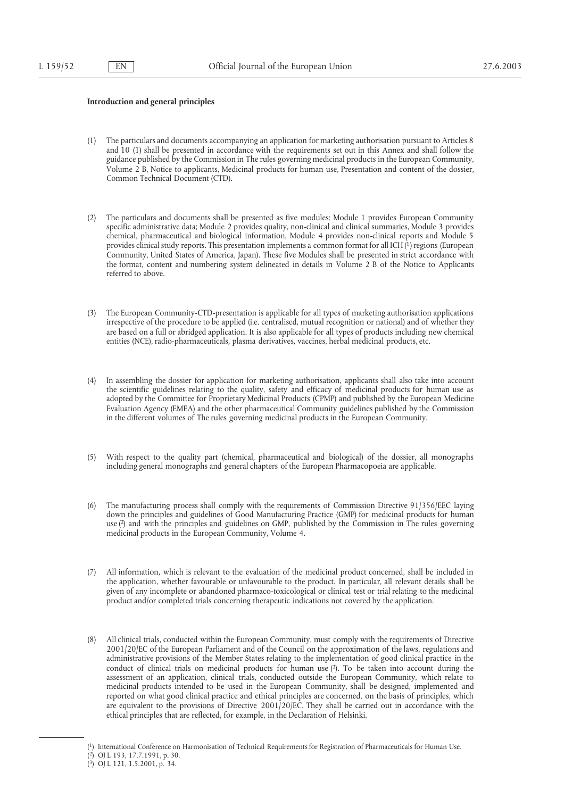## **Introduction and general principles**

- (1) The particulars and documents accompanying an application for marketing authorisation pursuant to Articles 8 and 10 (1) shall be presented in accordance with the requirements set out in this Annex and shall follow the guidance published by the Commission in The rules governing medicinal products in the European Community, Volume 2 B, Notice to applicants, Medicinal products for human use, Presentation and content of the dossier, Common Technical Document (CTD).
- (2) The particulars and documents shall be presented as five modules: Module 1 provides European Community specific administrative data; Module 2 provides quality, non-clinical and clinical summaries, Module 3 provides chemical, pharmaceutical and biological information, Module 4 provides non-clinical reports and Module 5 provides clinical study reports. This presentation implements a common format for all ICH (1) regions (European Community, United States of America, Japan). These five Modules shall be presented in strict accordance with the format, content and numbering system delineated in details in Volume 2 B of the Notice to Applicants referred to above.
- (3) The European Community-CTD-presentation is applicable for all types of marketing authorisation applications irrespective of the procedure to be applied (i.e. centralised, mutual recognition or national) and of whether they are based on a full or abridged application. It is also applicable for all types of products including new chemical entities (NCE), radio-pharmaceuticals, plasma derivatives, vaccines, herbal medicinal products, etc.
- (4) In assembling the dossier for application for marketing authorisation, applicants shall also take into account the scientific guidelines relating to the quality, safety and efficacy of medicinal products for human use as adopted by the Committee for Proprietary Medicinal Products (CPMP) and published by the European Medicine Evaluation Agency (EMEA) and the other pharmaceutical Community guidelines published by the Commission in the different volumes of The rules governing medicinal products in the European Community.
- (5) With respect to the quality part (chemical, pharmaceutical and biological) of the dossier, all monographs including general monographs and general chapters of the European Pharmacopoeia are applicable.
- (6) The manufacturing process shall comply with the requirements of Commission Directive 91/356/EEC laying down the principles and guidelines of Good Manufacturing Practice (GMP) for medicinal products for human use (2) and with the principles and guidelines on GMP, published by the Commission in The rules governing medicinal products in the European Community, Volume 4.
- (7) All information, which is relevant to the evaluation of the medicinal product concerned, shall be included in the application, whether favourable or unfavourable to the product. In particular, all relevant details shall be given of any incomplete or abandoned pharmaco-toxicological or clinical test or trial relating to the medicinal product and/or completed trials concerning therapeutic indications not covered by the application.
- (8) All clinical trials, conducted within the European Community, must comply with the requirements of Directive 2001/20/EC of the European Parliament and of the Council on the approximation of the laws, regulations and administrative provisions of the Member States relating to the implementation of good clinical practice in the conduct of clinical trials on medicinal products for human use (3). To be taken into account during the assessment of an application, clinical trials, conducted outside the European Community, which relate to medicinal products intended to be used in the European Community, shall be designed, implemented and reported on what good clinical practice and ethical principles are concerned, on the basis of principles, which are equivalent to the provisions of Directive 2001/20/EC. They shall be carried out in accordance with the ethical principles that are reflected, for example, in the Declaration of Helsinki.

<sup>(1)</sup> International Conference on Harmonisation of Technical Requirements for Registration of Pharmaceuticals for Human Use.

<sup>(2)</sup> OJ L 193, 17.7.1991, p. 30.

 $(3)$  OJ L 121, 1.5.2001, p. 34.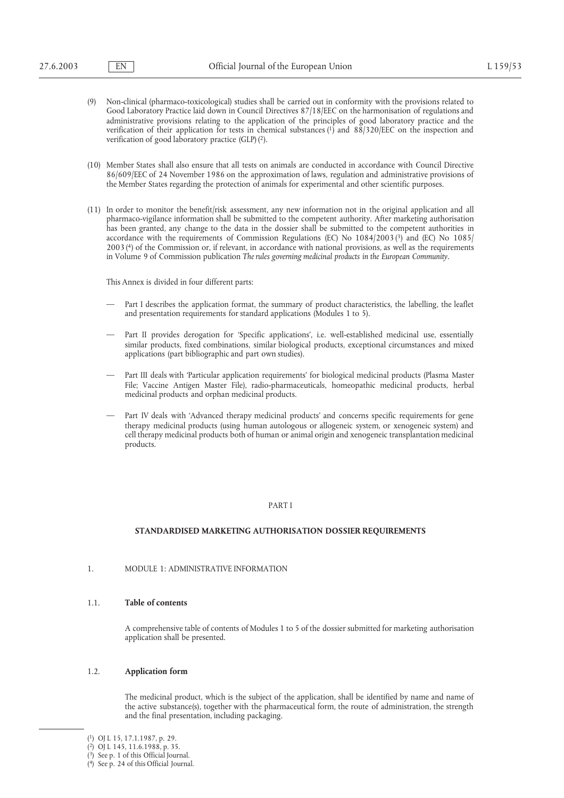- (9) Non-clinical (pharmaco-toxicological) studies shall be carried out in conformity with the provisions related to Good Laboratory Practice laid down in Council Directives 87/18/EEC on the harmonisation of regulations and administrative provisions relating to the application of the principles of good laboratory practice and the verification of their application for tests in chemical substances (1) and 88/320/EEC on the inspection and verification of good laboratory practice (GLP) (2).
- (10) Member States shall also ensure that all tests on animals are conducted in accordance with Council Directive 86/609/EEC of 24 November 1986 on the approximation of laws, regulation and administrative provisions of the Member States regarding the protection of animals for experimental and other scientific purposes.
- (11) In order to monitor the benefit/risk assessment, any new information not in the original application and all pharmaco-vigilance information shall be submitted to the competent authority. After marketing authorisation has been granted, any change to the data in the dossier shall be submitted to the competent authorities in accordance with the requirements of Commission Regulations (EC) No 1084/2003 (3) and (EC) No 1085/ 2003 (4) of the Commission or, if relevant, in accordance with national provisions, as well as the requirements in Volume 9 of Commission publication *The rules governing medicinal products in the European Community.*

This Annex is divided in four different parts:

- Part I describes the application format, the summary of product characteristics, the labelling, the leaflet and presentation requirements for standard applications (Modules 1 to 5).
- Part II provides derogation for 'Specific applications', i.e. well-established medicinal use, essentially similar products, fixed combinations, similar biological products, exceptional circumstances and mixed applications (part bibliographic and part own studies).
- Part III deals with 'Particular application requirements' for biological medicinal products (Plasma Master File; Vaccine Antigen Master File), radio-pharmaceuticals, homeopathic medicinal products, herbal medicinal products and orphan medicinal products.
- Part IV deals with 'Advanced therapy medicinal products' and concerns specific requirements for gene therapy medicinal products (using human autologous or allogeneic system, or xenogeneic system) and cell therapy medicinal products both of human or animal origin and xenogeneic transplantation medicinal products.

## PART I

## **STANDARDISED MARKETING AUTHORISATION DOSSIER REQUIREMENTS**

1. MODULE 1: ADMINISTRATIVE INFORMATION

## 1.1. **Table of contents**

A comprehensive table of contents of Modules 1 to 5 of the dossier submitted for marketing authorisation application shall be presented.

## 1.2. **Application form**

The medicinal product, which is the subject of the application, shall be identified by name and name of the active substance(s), together with the pharmaceutical form, the route of administration, the strength and the final presentation, including packaging.

<sup>(1)</sup> OJ L 15, 17.1.1987, p. 29.

<sup>(2)</sup> OJ L 145, 11.6.1988, p. 35.

<sup>(3)</sup> See p. 1 of this Official Journal.

 $(4)$  See p. 24 of this Official Journal.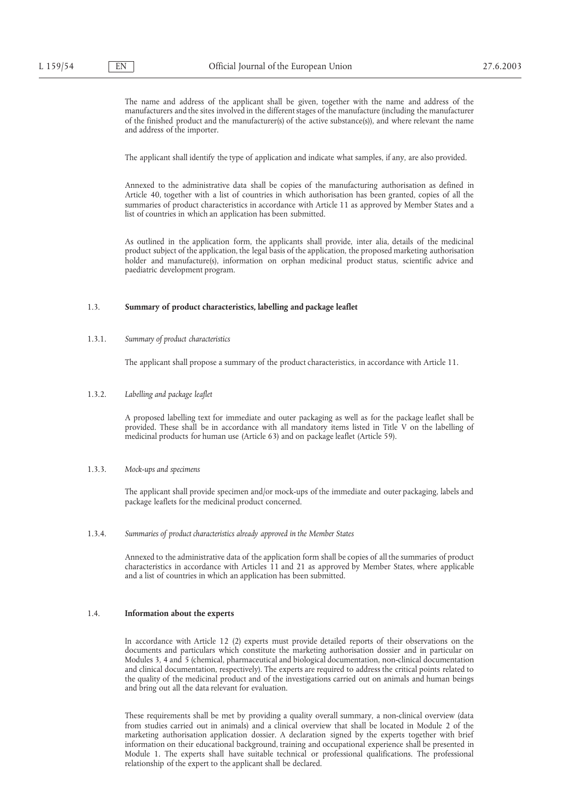The name and address of the applicant shall be given, together with the name and address of the manufacturers and the sites involved in the different stages of the manufacture (including the manufacturer of the finished product and the manufacturer(s) of the active substance(s)), and where relevant the name and address of the importer.

The applicant shall identify the type of application and indicate what samples, if any, are also provided.

Annexed to the administrative data shall be copies of the manufacturing authorisation as defined in Article 40, together with a list of countries in which authorisation has been granted, copies of all the summaries of product characteristics in accordance with Article 11 as approved by Member States and a list of countries in which an application has been submitted.

As outlined in the application form, the applicants shall provide, inter alia, details of the medicinal product subject of the application, the legal basis of the application, the proposed marketing authorisation holder and manufacture(s), information on orphan medicinal product status, scientific advice and paediatric development program.

# 1.3. **Summary of product characteristics, labelling and package leaflet**

## 1.3.1. *Summary of product characteristics*

The applicant shall propose a summary of the product characteristics, in accordance with Article 11.

#### 1.3.2. *Labelling and package leaflet*

A proposed labelling text for immediate and outer packaging as well as for the package leaflet shall be provided. These shall be in accordance with all mandatory items listed in Title V on the labelling of medicinal products for human use (Article 63) and on package leaflet (Article 59).

#### 1.3.3. *Mock-ups and specimens*

The applicant shall provide specimen and/or mock-ups of the immediate and outer packaging, labels and package leaflets for the medicinal product concerned.

1.3.4. *Summaries of product characteristics already approved in the Member States*

Annexed to the administrative data of the application form shall be copies of all the summaries of product characteristics in accordance with Articles 11 and 21 as approved by Member States, where applicable and a list of countries in which an application has been submitted.

#### 1.4. **Information about the experts**

In accordance with Article 12 (2) experts must provide detailed reports of their observations on the documents and particulars which constitute the marketing authorisation dossier and in particular on Modules 3, 4 and 5 (chemical, pharmaceutical and biological documentation, non-clinical documentation and clinical documentation, respectively). The experts are required to address the critical points related to the quality of the medicinal product and of the investigations carried out on animals and human beings and bring out all the data relevant for evaluation.

These requirements shall be met by providing a quality overall summary, a non-clinical overview (data from studies carried out in animals) and a clinical overview that shall be located in Module 2 of the marketing authorisation application dossier. A declaration signed by the experts together with brief information on their educational background, training and occupational experience shall be presented in Module 1. The experts shall have suitable technical or professional qualifications. The professional relationship of the expert to the applicant shall be declared.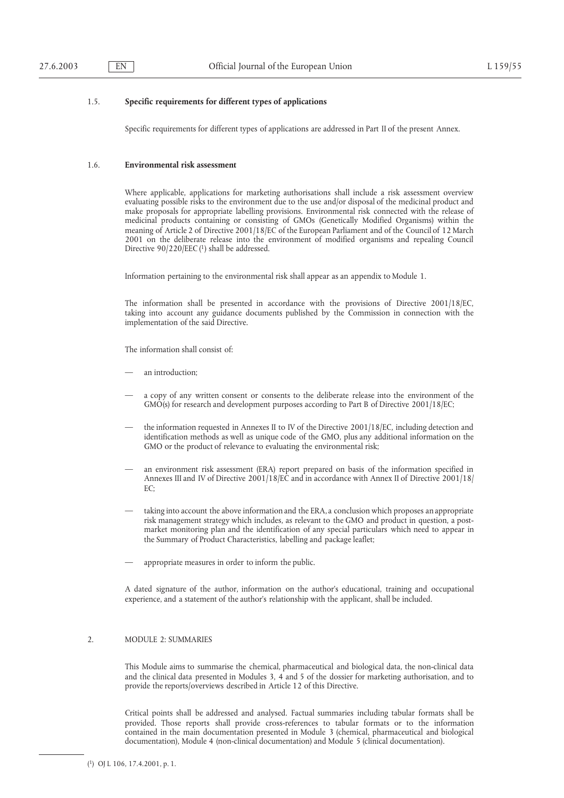# 1.5. **Specific requirements for different types of applications**

Specific requirements for different types of applications are addressed in Part II of the present Annex.

## 1.6. **Environmental risk assessment**

Where applicable, applications for marketing authorisations shall include a risk assessment overview evaluating possible risks to the environment due to the use and/or disposal of the medicinal product and make proposals for appropriate labelling provisions. Environmental risk connected with the release of medicinal products containing or consisting of GMOs (Genetically Modified Organisms) within the meaning of Article 2 of Directive 2001/18/EC of the European Parliament and of the Council of 12 March 2001 on the deliberate release into the environment of modified organisms and repealing Council Directive 90/220/EEC (1) shall be addressed.

Information pertaining to the environmental risk shall appear as an appendix to Module 1.

The information shall be presented in accordance with the provisions of Directive 2001/18/EC, taking into account any guidance documents published by the Commission in connection with the implementation of the said Directive.

The information shall consist of:

- an introduction:
- a copy of any written consent or consents to the deliberate release into the environment of the GMO(s) for research and development purposes according to Part B of Directive 2001/18/EC;
- the information requested in Annexes II to IV of the Directive 2001/18/EC, including detection and identification methods as well as unique code of the GMO, plus any additional information on the GMO or the product of relevance to evaluating the environmental risk;
- an environment risk assessment (ERA) report prepared on basis of the information specified in Annexes III and IV of Directive 2001/18/EC and in accordance with Annex II of Directive 2001/18/  $FC<sup>2</sup>$
- taking into account the above information and the ERA, a conclusion which proposes an appropriate risk management strategy which includes, as relevant to the GMO and product in question, a postmarket monitoring plan and the identification of any special particulars which need to appear in the Summary of Product Characteristics, labelling and package leaflet;
- appropriate measures in order to inform the public.

A dated signature of the author, information on the author's educational, training and occupational experience, and a statement of the author's relationship with the applicant, shall be included.

# 2. MODULE 2: SUMMARIES

This Module aims to summarise the chemical, pharmaceutical and biological data, the non-clinical data and the clinical data presented in Modules 3, 4 and 5 of the dossier for marketing authorisation, and to provide the reports/overviews described in Article 12 of this Directive.

Critical points shall be addressed and analysed. Factual summaries including tabular formats shall be provided. Those reports shall provide cross-references to tabular formats or to the information contained in the main documentation presented in Module 3 (chemical, pharmaceutical and biological documentation), Module 4 (non-clinical documentation) and Module 5 (clinical documentation).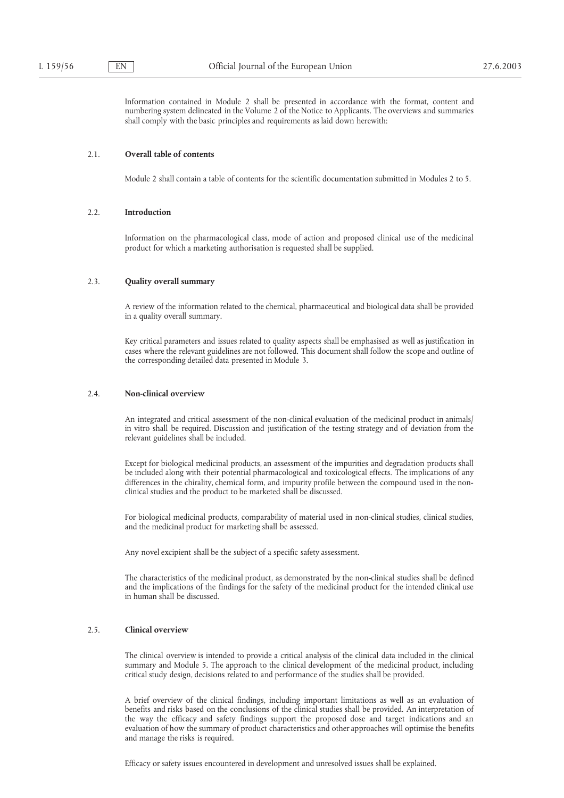Information contained in Module 2 shall be presented in accordance with the format, content and numbering system delineated in the Volume 2 of the Notice to Applicants. The overviews and summaries shall comply with the basic principles and requirements as laid down herewith:

#### 2.1. **Overall table of contents**

Module 2 shall contain a table of contents for the scientific documentation submitted in Modules 2 to 5.

## 2.2. **Introduction**

Information on the pharmacological class, mode of action and proposed clinical use of the medicinal product for which a marketing authorisation is requested shall be supplied.

#### 2.3. **Quality overall summary**

A review of the information related to the chemical, pharmaceutical and biological data shall be provided in a quality overall summary.

Key critical parameters and issues related to quality aspects shall be emphasised as well as justification in cases where the relevant guidelines are not followed. This document shall follow the scope and outline of the corresponding detailed data presented in Module 3.

## 2.4. **Non-clinical overview**

An integrated and critical assessment of the non-clinical evaluation of the medicinal product in animals/ in vitro shall be required. Discussion and justification of the testing strategy and of deviation from the relevant guidelines shall be included.

Except for biological medicinal products, an assessment of the impurities and degradation products shall be included along with their potential pharmacological and toxicological effects. The implications of any differences in the chirality, chemical form, and impurity profile between the compound used in the nonclinical studies and the product to be marketed shall be discussed.

For biological medicinal products, comparability of material used in non-clinical studies, clinical studies, and the medicinal product for marketing shall be assessed.

Any novel excipient shall be the subject of a specific safety assessment.

The characteristics of the medicinal product, as demonstrated by the non-clinical studies shall be defined and the implications of the findings for the safety of the medicinal product for the intended clinical use in human shall be discussed.

## 2.5. **Clinical overview**

The clinical overview is intended to provide a critical analysis of the clinical data included in the clinical summary and Module 5. The approach to the clinical development of the medicinal product, including critical study design, decisions related to and performance of the studies shall be provided.

A brief overview of the clinical findings, including important limitations as well as an evaluation of benefits and risks based on the conclusions of the clinical studies shall be provided. An interpretation of the way the efficacy and safety findings support the proposed dose and target indications and an evaluation of how the summary of product characteristics and other approaches will optimise the benefits and manage the risks is required.

Efficacy or safety issues encountered in development and unresolved issues shall be explained.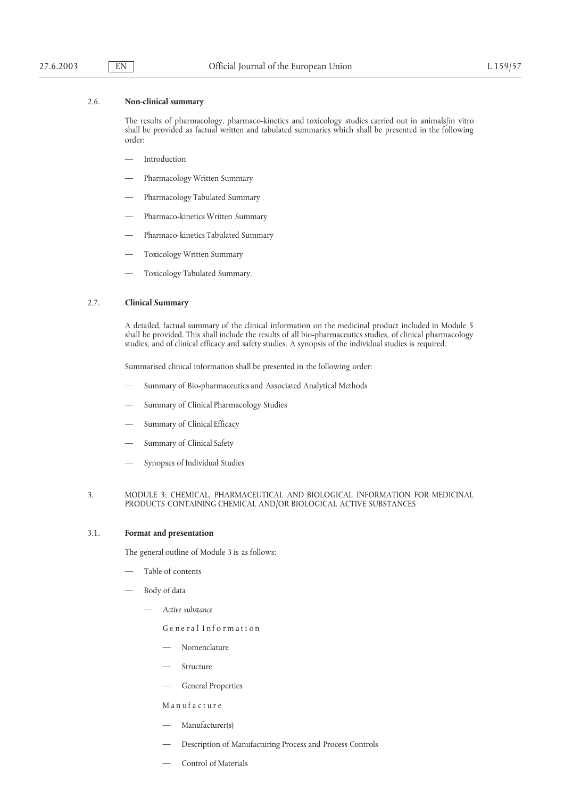# 2.6. **Non-clinical summary**

The results of pharmacology, pharmaco-kinetics and toxicology studies carried out in animals/in vitro shall be provided as factual written and tabulated summaries which shall be presented in the following order:

- Introduction
- Pharmacology Written Summary
- Pharmacology Tabulated Summary
- Pharmaco-kinetics Written Summary
- Pharmaco-kinetics Tabulated Summary
- Toxicology Written Summary
- Toxicology Tabulated Summary.

#### 2.7. **Clinical Summary**

A detailed, factual summary of the clinical information on the medicinal product included in Module 5 shall be provided. This shall include the results of all bio-pharmaceutics studies, of clinical pharmacology studies, and of clinical efficacy and safety studies. A synopsis of the individual studies is required.

Summarised clinical information shall be presented in the following order:

- Summary of Bio-pharmaceutics and Associated Analytical Methods
- Summary of Clinical Pharmacology Studies
- Summary of Clinical Efficacy
- Summary of Clinical Safety
- Synopses of Individual Studies

## 3. MODULE 3: CHEMICAL, PHARMACEUTICAL AND BIOLOGICAL INFORMATION FOR MEDICINAL PRODUCTS CONTAINING CHEMICAL AND/OR BIOLOGICAL ACTIVE SUBSTANCES

# 3.1. **Format and presentation**

The general outline of Module 3 is as follows:

- Table of contents
- Body of data
	- *Active substance*
		- Ge ne ral Informati on
		- Nomenclature
		- **Structure**
		- General Properties

Manufacture

- Manufacturer(s)
- Description of Manufacturing Process and Process Controls
- Control of Materials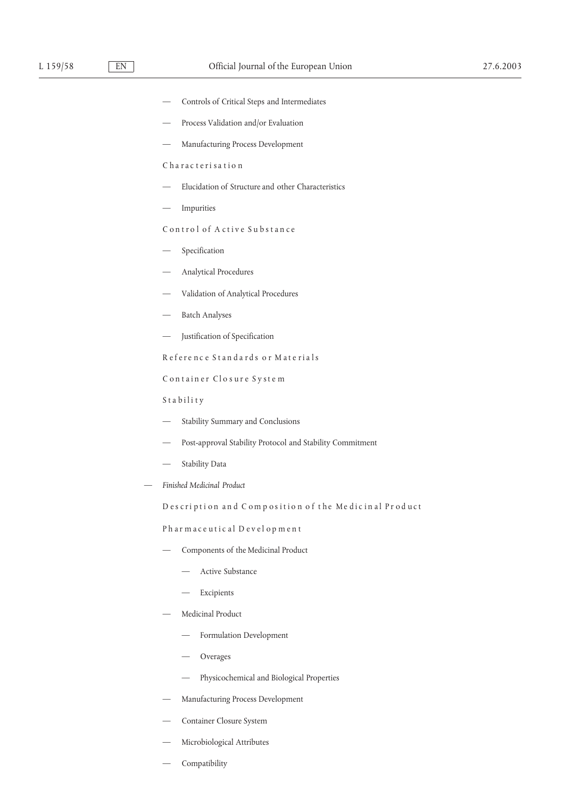- Controls of Critical Steps and Intermediates
- Process Validation and/or Evaluation
- Manufacturing Process Development

C ha rac teri sa tion

- Elucidation of Structure and other Characteristics
- Impurities

Control of A ctive Substance

- Specification
- Analytical Procedures
- Validation of Analytical Procedures
- Batch Analyses
- Justification of Specification

Refere nc e Standards or Mate rials

Container Closure System

Stability

- Stability Summary and Conclusions
- Post-approval Stability Protocol and Stability Commitment
- Stability Data
- *Finished Medicinal Product*

Description and Composition of the Medicinal Product

Pharmace utic al Devel opment

- Components of the Medicinal Product
	- Active Substance
	- Excipients
- Medicinal Product
	- Formulation Development
	- **Overages**
	- Physicochemical and Biological Properties
- Manufacturing Process Development
- Container Closure System
- Microbiological Attributes
- Compatibility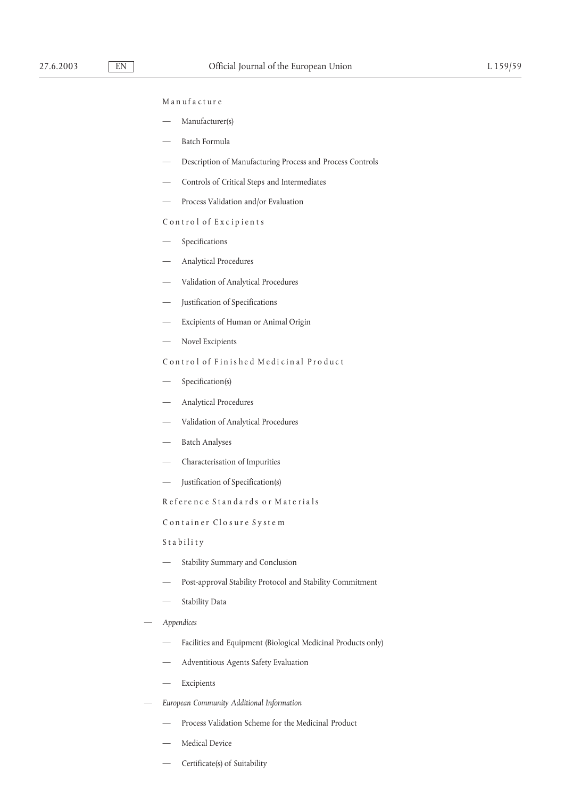## Manufacture

- Manufacturer(s)
- Batch Formula
- Description of Manufacturing Process and Process Controls
- Controls of Critical Steps and Intermediates
- Process Validation and/or Evaluation

## Control of Exc ipients

- **Specifications**
- Analytical Procedures
- Validation of Analytical Procedures
- Justification of Specifications
- Excipients of Human or Animal Origin
- Novel Excipients

# Control of Finishe d Medi cinal Produc t

- Specification(s)
- Analytical Procedures
- Validation of Analytical Procedures
- Batch Analyses
- Characterisation of Impurities
- Justification of Specification(s)

Refere nc e Standards or Mate rials

C ontainer Closur e Syste m

Stability

- Stability Summary and Conclusion
- Post-approval Stability Protocol and Stability Commitment
- Stability Data
- *Appendices*
	- Facilities and Equipment (Biological Medicinal Products only)
	- Adventitious Agents Safety Evaluation
	- Excipients
- *European Community Additional Information*
	- Process Validation Scheme for the Medicinal Product
	- Medical Device
	- Certificate(s) of Suitability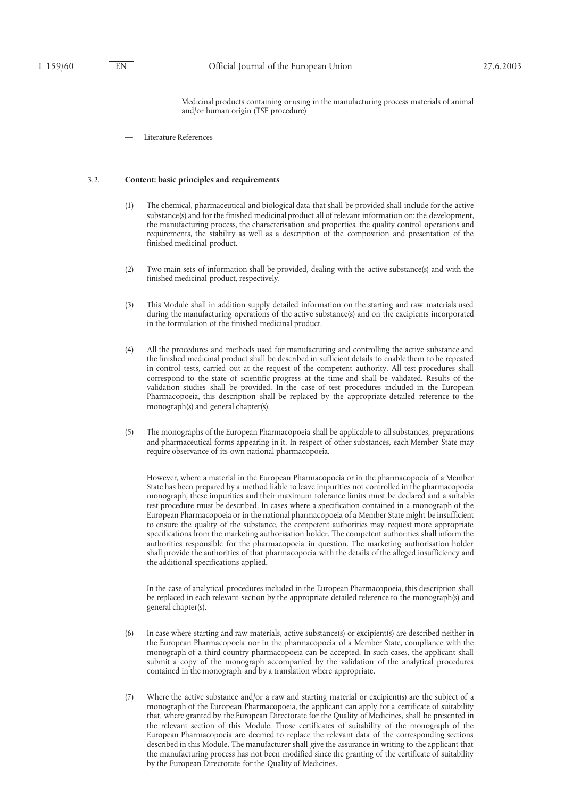— Medicinal products containing or using in the manufacturing process materials of animal and/or human origin (TSE procedure)

Literature References

## 3.2. **Content: basic principles and requirements**

- (1) The chemical, pharmaceutical and biological data that shall be provided shall include for the active substance(s) and for the finished medicinal product all of relevant information on: the development, the manufacturing process, the characterisation and properties, the quality control operations and requirements, the stability as well as a description of the composition and presentation of the finished medicinal product.
- (2) Two main sets of information shall be provided, dealing with the active substance(s) and with the finished medicinal product, respectively.
- (3) This Module shall in addition supply detailed information on the starting and raw materials used during the manufacturing operations of the active substance(s) and on the excipients incorporated in the formulation of the finished medicinal product.
- (4) All the procedures and methods used for manufacturing and controlling the active substance and the finished medicinal product shall be described in sufficient details to enable them to be repeated in control tests, carried out at the request of the competent authority. All test procedures shall correspond to the state of scientific progress at the time and shall be validated. Results of the validation studies shall be provided. In the case of test procedures included in the European Pharmacopoeia, this description shall be replaced by the appropriate detailed reference to the monograph(s) and general chapter(s).
- (5) The monographs of the European Pharmacopoeia shall be applicable to all substances, preparations and pharmaceutical forms appearing in it. In respect of other substances, each Member State may require observance of its own national pharmacopoeia.

However, where a material in the European Pharmacopoeia or in the pharmacopoeia of a Member State has been prepared by a method liable to leave impurities not controlled in the pharmacopoeia monograph, these impurities and their maximum tolerance limits must be declared and a suitable test procedure must be described. In cases where a specification contained in a monograph of the European Pharmacopoeia or in the national pharmacopoeia of a Member State might be insufficient to ensure the quality of the substance, the competent authorities may request more appropriate specifications from the marketing authorisation holder. The competent authorities shall inform the authorities responsible for the pharmacopoeia in question. The marketing authorisation holder shall provide the authorities of that pharmacopoeia with the details of the alleged insufficiency and the additional specifications applied.

In the case of analytical procedures included in the European Pharmacopoeia, this description shall be replaced in each relevant section by the appropriate detailed reference to the monograph(s) and general chapter(s).

- (6) In case where starting and raw materials, active substance(s) or excipient(s) are described neither in the European Pharmacopoeia nor in the pharmacopoeia of a Member State, compliance with the monograph of a third country pharmacopoeia can be accepted. In such cases, the applicant shall submit a copy of the monograph accompanied by the validation of the analytical procedures contained in the monograph and by a translation where appropriate.
- (7) Where the active substance and/or a raw and starting material or excipient(s) are the subject of a monograph of the European Pharmacopoeia, the applicant can apply for a certificate of suitability that, where granted by the European Directorate for the Quality of Medicines, shall be presented in the relevant section of this Module. Those certificates of suitability of the monograph of the European Pharmacopoeia are deemed to replace the relevant data of the corresponding sections described in this Module. The manufacturer shall give the assurance in writing to the applicant that the manufacturing process has not been modified since the granting of the certificate of suitability by the European Directorate for the Quality of Medicines.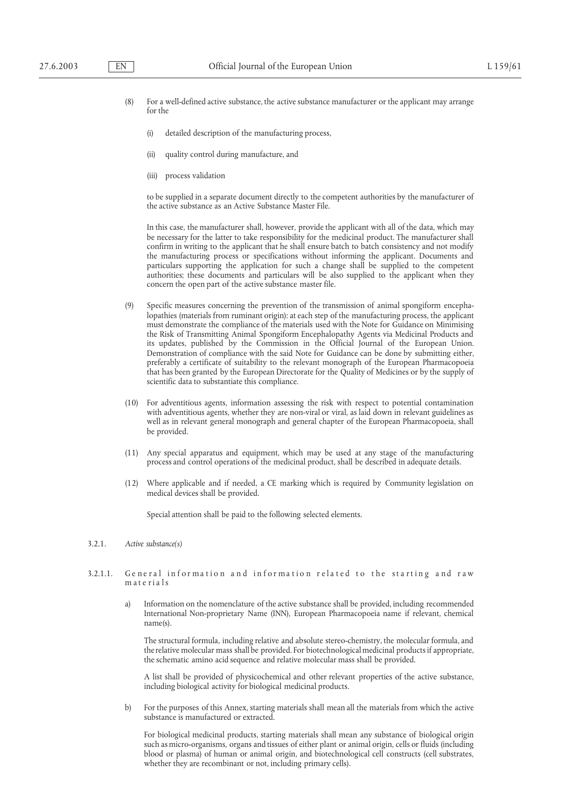- (8) For a well-defined active substance, the active substance manufacturer or the applicant may arrange for the
	- (i) detailed description of the manufacturing process,
	- (ii) quality control during manufacture, and
	- (iii) process validation

to be supplied in a separate document directly to the competent authorities by the manufacturer of the active substance as an Active Substance Master File.

In this case, the manufacturer shall, however, provide the applicant with all of the data, which may be necessary for the latter to take responsibility for the medicinal product. The manufacturer shall confirm in writing to the applicant that he shall ensure batch to batch consistency and not modify the manufacturing process or specifications without informing the applicant. Documents and particulars supporting the application for such a change shall be supplied to the competent authorities; these documents and particulars will be also supplied to the applicant when they concern the open part of the active substance master file.

- (9) Specific measures concerning the prevention of the transmission of animal spongiform encephalopathies (materials from ruminant origin): at each step of the manufacturing process, the applicant must demonstrate the compliance of the materials used with the Note for Guidance on Minimising the Risk of Transmitting Animal Spongiform Encephalopathy Agents via Medicinal Products and its updates, published by the Commission in the Official Journal of the European Union. Demonstration of compliance with the said Note for Guidance can be done by submitting either, preferably a certificate of suitability to the relevant monograph of the European Pharmacopoeia that has been granted by the European Directorate for the Quality of Medicines or by the supply of scientific data to substantiate this compliance.
- (10) For adventitious agents, information assessing the risk with respect to potential contamination with adventitious agents, whether they are non-viral or viral, as laid down in relevant guidelines as well as in relevant general monograph and general chapter of the European Pharmacopoeia, shall be provided.
- (11) Any special apparatus and equipment, which may be used at any stage of the manufacturing process and control operations of the medicinal product, shall be described in adequate details.
- (12) Where applicable and if needed, a CE marking which is required by Community legislation on medical devices shall be provided.

Special attention shall be paid to the following selected elements.

## 3.2.1. *Active substance(s)*

- 3.2.1.1. General information and information related to the starting and raw materials
	- a) Information on the nomenclature of the active substance shall be provided, including recommended International Non-proprietary Name (INN), European Pharmacopoeia name if relevant, chemical name(s).

The structural formula, including relative and absolute stereo-chemistry, the molecular formula, and the relative molecular mass shall be provided. For biotechnological medicinal products if appropriate, the schematic amino acid sequence and relative molecular mass shall be provided.

A list shall be provided of physicochemical and other relevant properties of the active substance, including biological activity for biological medicinal products.

b) For the purposes of this Annex, starting materials shall mean all the materials from which the active substance is manufactured or extracted.

For biological medicinal products, starting materials shall mean any substance of biological origin such as micro-organisms, organs and tissues of either plant or animal origin, cells or fluids (including blood or plasma) of human or animal origin, and biotechnological cell constructs (cell substrates, whether they are recombinant or not, including primary cells).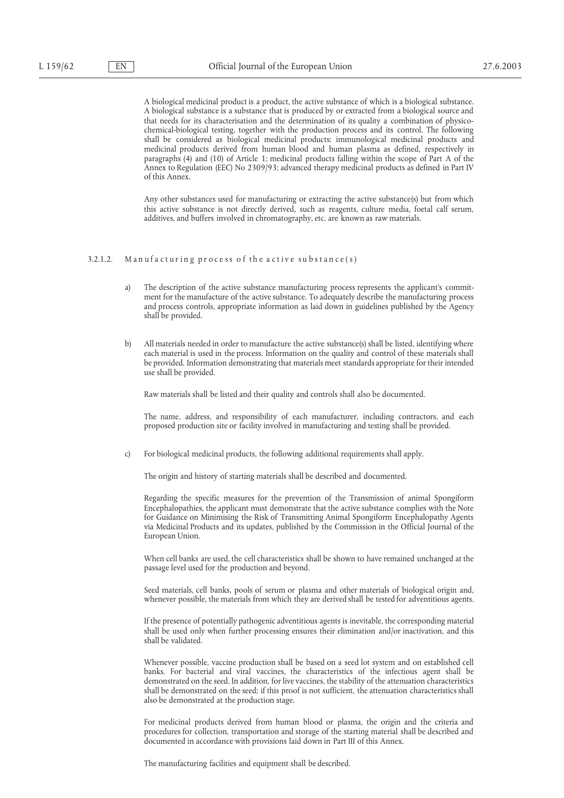A biological medicinal product is a product, the active substance of which is a biological substance. A biological substance is a substance that is produced by or extracted from a biological source and that needs for its characterisation and the determination of its quality a combination of physicochemical-biological testing, together with the production process and its control. The following shall be considered as biological medicinal products: immunological medicinal products and medicinal products derived from human blood and human plasma as defined, respectively in paragraphs (4) and (10) of Article 1; medicinal products falling within the scope of Part A of the Annex to Regulation (EEC) No 2309/93; advanced therapy medicinal products as defined in Part IV of this Annex.

Any other substances used for manufacturing or extracting the active substance(s) but from which this active substance is not directly derived, such as reagents, culture media, foetal calf serum, additives, and buffers involved in chromatography, etc. are known as raw materials.

#### 3.2.1.2. Manufacturing process of the active substance(s)

- a) The description of the active substance manufacturing process represents the applicant's commitment for the manufacture of the active substance. To adequately describe the manufacturing process and process controls, appropriate information as laid down in guidelines published by the Agency shall be provided.
- b) All materials needed in order to manufacture the active substance(s) shall be listed, identifying where each material is used in the process. Information on the quality and control of these materials shall be provided. Information demonstrating that materials meet standards appropriate for their intended use shall be provided.

Raw materials shall be listed and their quality and controls shall also be documented.

The name, address, and responsibility of each manufacturer, including contractors, and each proposed production site or facility involved in manufacturing and testing shall be provided.

c) For biological medicinal products, the following additional requirements shall apply.

The origin and history of starting materials shall be described and documented.

Regarding the specific measures for the prevention of the Transmission of animal Spongiform Encephalopathies, the applicant must demonstrate that the active substance complies with the Note for Guidance on Minimising the Risk of Transmitting Animal Spongiform Encephalopathy Agents via Medicinal Products and its updates, published by the Commission in the Official Journal of the European Union.

When cell banks are used, the cell characteristics shall be shown to have remained unchanged at the passage level used for the production and beyond.

Seed materials, cell banks, pools of serum or plasma and other materials of biological origin and, whenever possible, the materials from which they are derived shall be tested for adventitious agents.

If the presence of potentially pathogenic adventitious agents is inevitable, the corresponding material shall be used only when further processing ensures their elimination and/or inactivation, and this shall be validated.

Whenever possible, vaccine production shall be based on a seed lot system and on established cell banks. For bacterial and viral vaccines, the characteristics of the infectious agent shall be demonstrated on the seed. In addition, for live vaccines, the stability of the attenuation characteristics shall be demonstrated on the seed; if this proof is not sufficient, the attenuation characteristics shall also be demonstrated at the production stage.

For medicinal products derived from human blood or plasma, the origin and the criteria and procedures for collection, transportation and storage of the starting material shall be described and documented in accordance with provisions laid down in Part III of this Annex.

The manufacturing facilities and equipment shall be described.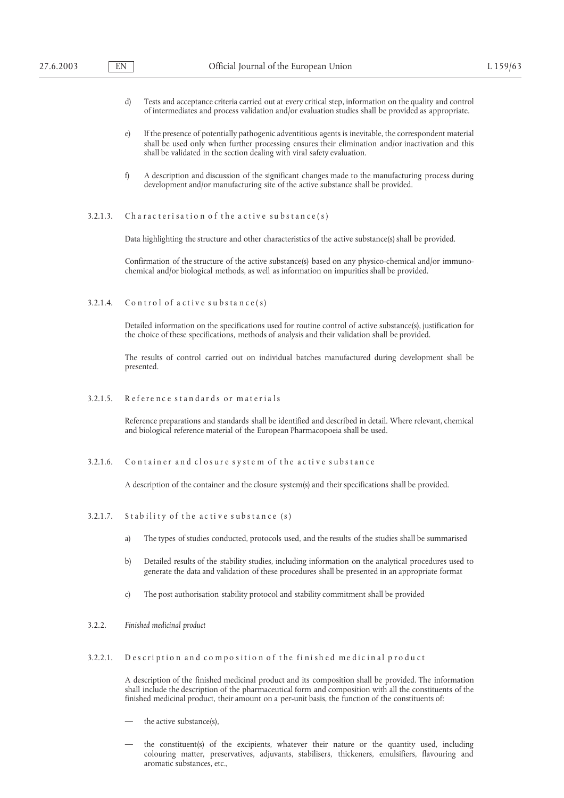- d) Tests and acceptance criteria carried out at every critical step, information on the quality and control of intermediates and process validation and/or evaluation studies shall be provided as appropriate.
- e) If the presence of potentially pathogenic adventitious agents is inevitable, the correspondent material shall be used only when further processing ensures their elimination and/or inactivation and this shall be validated in the section dealing with viral safety evaluation.
- f) A description and discussion of the significant changes made to the manufacturing process during development and/or manufacturing site of the active substance shall be provided.

# $3.2.1.3.$  Characterisation of the active substance(s)

Data highlighting the structure and other characteristics of the active substance(s) shall be provided.

Confirmation of the structure of the active substance(s) based on any physico-chemical and/or immunochemical and/or biological methods, as well as information on impurities shall be provided.

3.2.1.4. Control of active substance(s)

Detailed information on the specifications used for routine control of active substance(s), justification for the choice of these specifications, methods of analysis and their validation shall be provided.

The results of control carried out on individual batches manufactured during development shall be presented.

3.2.1.5. Reference standards or materials

Reference preparations and standards shall be identified and described in detail. Where relevant, chemical and biological reference material of the European Pharmacopoeia shall be used.

3.2.1.6. Container and closure system of the active substance

A description of the container and the closure system(s) and their specifications shall be provided.

- $3.2.1.7.$  Stability of the active substance  $(s)$ 
	- a) The types of studies conducted, protocols used, and the results of the studies shall be summarised
	- b) Detailed results of the stability studies, including information on the analytical procedures used to generate the data and validation of these procedures shall be presented in an appropriate format
	- c) The post authorisation stability protocol and stability commitment shall be provided
- 3.2.2. *Finished medicinal product*
- 3.2.2.1. Description and composition of the finished medicinal product

A description of the finished medicinal product and its composition shall be provided. The information shall include the description of the pharmaceutical form and composition with all the constituents of the finished medicinal product, their amount on a per-unit basis, the function of the constituents of:

- the active substance(s),
- the constituent(s) of the excipients, whatever their nature or the quantity used, including colouring matter, preservatives, adjuvants, stabilisers, thickeners, emulsifiers, flavouring and aromatic substances, etc.,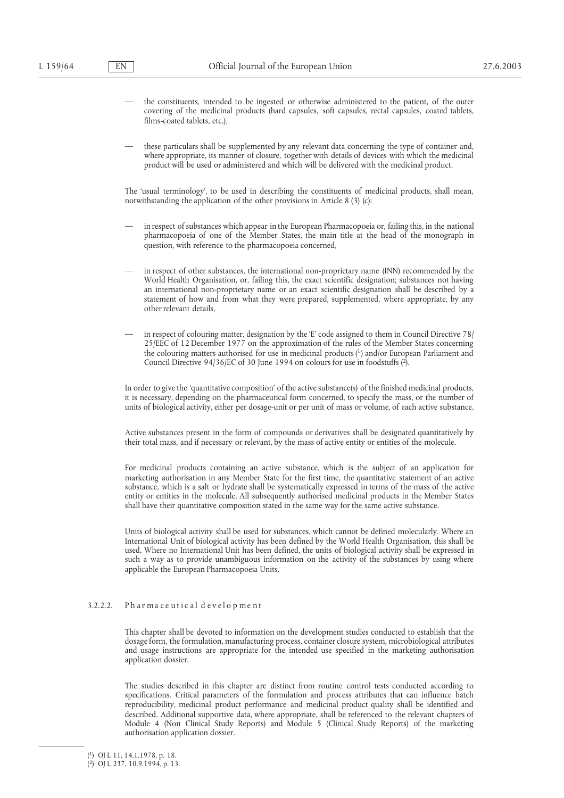- the constituents, intended to be ingested or otherwise administered to the patient, of the outer covering of the medicinal products (hard capsules, soft capsules, rectal capsules, coated tablets, films-coated tablets, etc.),
- these particulars shall be supplemented by any relevant data concerning the type of container and, where appropriate, its manner of closure, together with details of devices with which the medicinal product will be used or administered and which will be delivered with the medicinal product.

The 'usual terminology', to be used in describing the constituents of medicinal products, shall mean, notwithstanding the application of the other provisions in Article 8 (3) (c):

- in respect of substances which appear in the European Pharmacopoeia or, failing this, in the national pharmacopoeia of one of the Member States, the main title at the head of the monograph in question, with reference to the pharmacopoeia concerned,
- in respect of other substances, the international non-proprietary name (INN) recommended by the World Health Organisation, or, failing this, the exact scientific designation; substances not having an international non-proprietary name or an exact scientific designation shall be described by a statement of how and from what they were prepared, supplemented, where appropriate, by any other relevant details,
- in respect of colouring matter, designation by the 'E' code assigned to them in Council Directive 78/ 25/EEC of 12 December 1977 on the approximation of the rules of the Member States concerning the colouring matters authorised for use in medicinal products  $(1)$  and/or European Parliament and Council Directive 94/36/EC of 30 June 1994 on colours for use in foodstuffs (2).

In order to give the 'quantitative composition' of the active substance(s) of the finished medicinal products, it is necessary, depending on the pharmaceutical form concerned, to specify the mass, or the number of units of biological activity, either per dosage-unit or per unit of mass or volume, of each active substance.

Active substances present in the form of compounds or derivatives shall be designated quantitatively by their total mass, and if necessary or relevant, by the mass of active entity or entities of the molecule.

For medicinal products containing an active substance, which is the subject of an application for marketing authorisation in any Member State for the first time, the quantitative statement of an active substance, which is a salt or hydrate shall be systematically expressed in terms of the mass of the active entity or entities in the molecule. All subsequently authorised medicinal products in the Member States shall have their quantitative composition stated in the same way for the same active substance.

Units of biological activity shall be used for substances, which cannot be defined molecularly. Where an International Unit of biological activity has been defined by the World Health Organisation, this shall be used. Where no International Unit has been defined, the units of biological activity shall be expressed in such a way as to provide unambiguous information on the activity of the substances by using where applicable the European Pharmacopoeia Units.

# 3.2.2.2. Pharmaceutical development

This chapter shall be devoted to information on the development studies conducted to establish that the dosage form, the formulation, manufacturing process, container closure system, microbiological attributes and usage instructions are appropriate for the intended use specified in the marketing authorisation application dossier.

The studies described in this chapter are distinct from routine control tests conducted according to specifications. Critical parameters of the formulation and process attributes that can influence batch reproducibility, medicinal product performance and medicinal product quality shall be identified and described. Additional supportive data, where appropriate, shall be referenced to the relevant chapters of Module 4 (Non Clinical Study Reports) and Module 5 (Clinical Study Reports) of the marketing authorisation application dossier.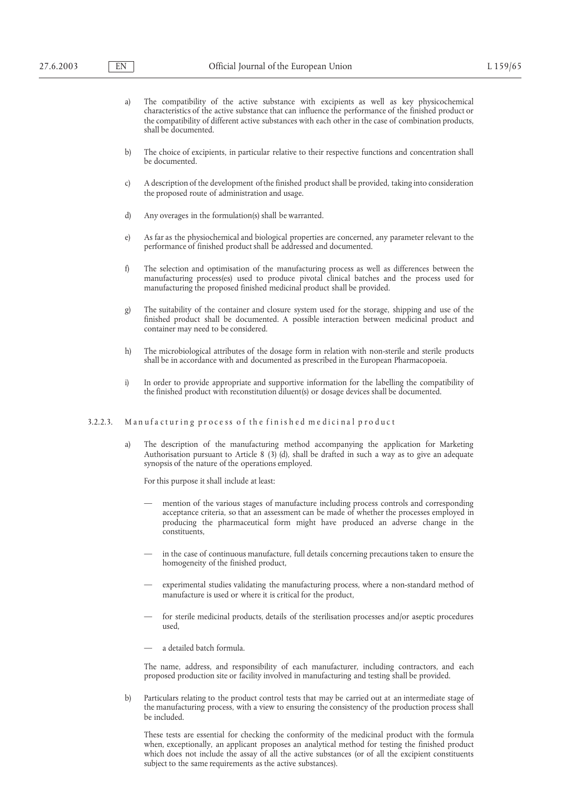- a) The compatibility of the active substance with excipients as well as key physicochemical characteristics of the active substance that can influence the performance of the finished product or the compatibility of different active substances with each other in the case of combination products, shall be documented.
- b) The choice of excipients, in particular relative to their respective functions and concentration shall be documented.
- c) A description of the development of the finished product shall be provided, taking into consideration the proposed route of administration and usage.
- d) Any overages in the formulation(s) shall be warranted.
- e) As far as the physiochemical and biological properties are concerned, any parameter relevant to the performance of finished product shall be addressed and documented.
- f) The selection and optimisation of the manufacturing process as well as differences between the manufacturing process(es) used to produce pivotal clinical batches and the process used for manufacturing the proposed finished medicinal product shall be provided.
- g) The suitability of the container and closure system used for the storage, shipping and use of the finished product shall be documented. A possible interaction between medicinal product and container may need to be considered.
- h) The microbiological attributes of the dosage form in relation with non-sterile and sterile products shall be in accordance with and documented as prescribed in the European Pharmacopoeia.
- i) In order to provide appropriate and supportive information for the labelling the compatibility of the finished product with reconstitution diluent(s) or dosage devices shall be documented.

## 3.2.2.3. Manufacturing process of the finished medicinal product

a) The description of the manufacturing method accompanying the application for Marketing Authorisation pursuant to Article 8 (3) (d), shall be drafted in such a way as to give an adequate synopsis of the nature of the operations employed.

For this purpose it shall include at least:

- mention of the various stages of manufacture including process controls and corresponding acceptance criteria, so that an assessment can be made of whether the processes employed in producing the pharmaceutical form might have produced an adverse change in the constituents,
- in the case of continuous manufacture, full details concerning precautions taken to ensure the homogeneity of the finished product,
- experimental studies validating the manufacturing process, where a non-standard method of manufacture is used or where it is critical for the product,
- for sterile medicinal products, details of the sterilisation processes and/or aseptic procedures used,
- a detailed batch formula.

The name, address, and responsibility of each manufacturer, including contractors, and each proposed production site or facility involved in manufacturing and testing shall be provided.

b) Particulars relating to the product control tests that may be carried out at an intermediate stage of the manufacturing process, with a view to ensuring the consistency of the production process shall be included.

These tests are essential for checking the conformity of the medicinal product with the formula when, exceptionally, an applicant proposes an analytical method for testing the finished product which does not include the assay of all the active substances (or of all the excipient constituents subject to the same requirements as the active substances).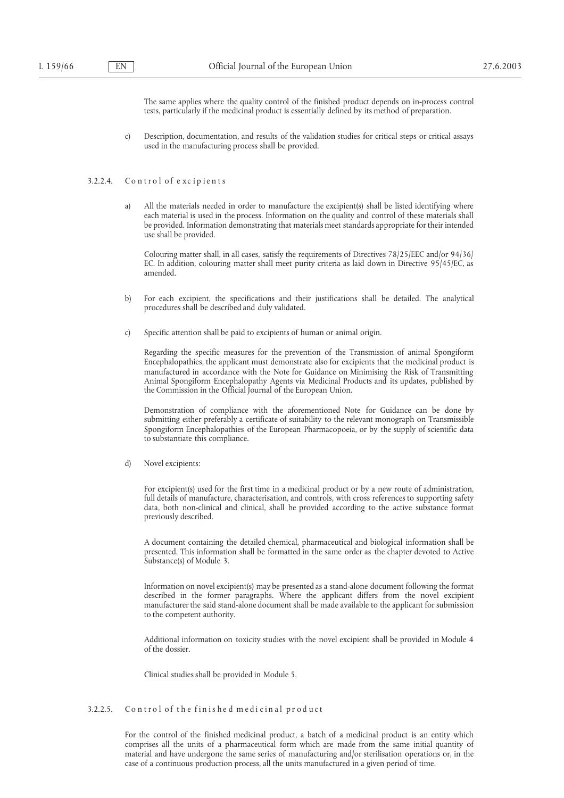The same applies where the quality control of the finished product depends on in-process control tests, particularly if the medicinal product is essentially defined by its method of preparation.

c) Description, documentation, and results of the validation studies for critical steps or critical assays used in the manufacturing process shall be provided.

### 3.2.2.4. Control of excipients

a) All the materials needed in order to manufacture the excipient(s) shall be listed identifying where each material is used in the process. Information on the quality and control of these materials shall be provided. Information demonstrating that materials meet standards appropriate for their intended use shall be provided.

Colouring matter shall, in all cases, satisfy the requirements of Directives 78/25/EEC and/or 94/36/ EC. In addition, colouring matter shall meet purity criteria as laid down in Directive 95/45/EC, as amended.

- b) For each excipient, the specifications and their justifications shall be detailed. The analytical procedures shall be described and duly validated.
- c) Specific attention shall be paid to excipients of human or animal origin.

Regarding the specific measures for the prevention of the Transmission of animal Spongiform Encephalopathies, the applicant must demonstrate also for excipients that the medicinal product is manufactured in accordance with the Note for Guidance on Minimising the Risk of Transmitting Animal Spongiform Encephalopathy Agents via Medicinal Products and its updates, published by the Commission in the Official Journal of the European Union.

Demonstration of compliance with the aforementioned Note for Guidance can be done by submitting either preferably a certificate of suitability to the relevant monograph on Transmissible Spongiform Encephalopathies of the European Pharmacopoeia, or by the supply of scientific data to substantiate this compliance.

d) Novel excipients:

For excipient(s) used for the first time in a medicinal product or by a new route of administration, full details of manufacture, characterisation, and controls, with cross references to supporting safety data, both non-clinical and clinical, shall be provided according to the active substance format previously described.

A document containing the detailed chemical, pharmaceutical and biological information shall be presented. This information shall be formatted in the same order as the chapter devoted to Active Substance(s) of Module 3.

Information on novel excipient(s) may be presented as a stand-alone document following the format described in the former paragraphs. Where the applicant differs from the novel excipient manufacturer the said stand-alone document shall be made available to the applicant for submission to the competent authority.

Additional information on toxicity studies with the novel excipient shall be provided in Module 4 of the dossier.

Clinical studies shall be provided in Module 5.

## 3.2.2.5. Control of the finished medicinal product

For the control of the finished medicinal product, a batch of a medicinal product is an entity which comprises all the units of a pharmaceutical form which are made from the same initial quantity of material and have undergone the same series of manufacturing and/or sterilisation operations or, in the case of a continuous production process, all the units manufactured in a given period of time.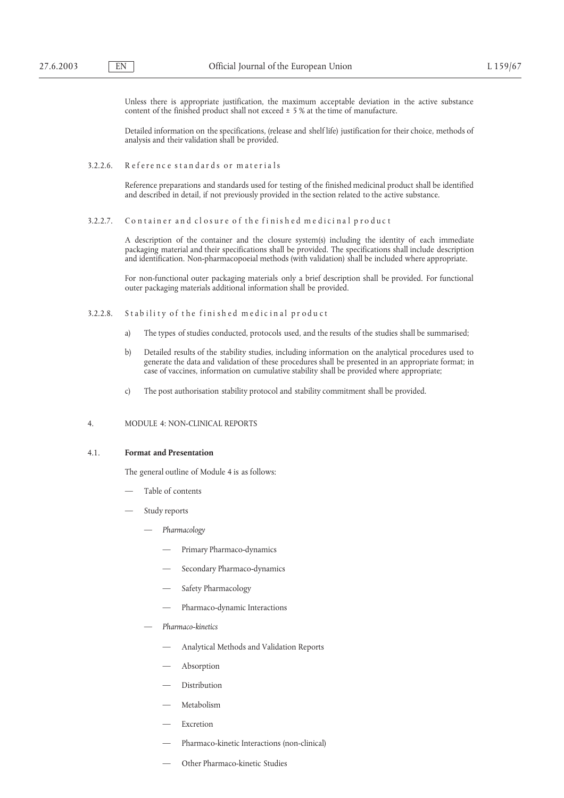Unless there is appropriate justification, the maximum acceptable deviation in the active substance content of the finished product shall not exceed  $\pm$  5 % at the time of manufacture.

Detailed information on the specifications, (release and shelf life) justification for their choice, methods of analysis and their validation shall be provided.

3.2.2.6. Reference standards or materials

Reference preparations and standards used for testing of the finished medicinal product shall be identified and described in detail, if not previously provided in the section related to the active substance.

#### 3.2.2.7. Container and closure of the finished medicinal product

A description of the container and the closure system(s) including the identity of each immediate packaging material and their specifications shall be provided. The specifications shall include description and identification. Non-pharmacopoeial methods (with validation) shall be included where appropriate.

For non-functional outer packaging materials only a brief description shall be provided. For functional outer packaging materials additional information shall be provided.

- 3.2.2.8. Stability of the finished medicinal product
	- a) The types of studies conducted, protocols used, and the results of the studies shall be summarised;
	- b) Detailed results of the stability studies, including information on the analytical procedures used to generate the data and validation of these procedures shall be presented in an appropriate format; in case of vaccines, information on cumulative stability shall be provided where appropriate;
	- c) The post authorisation stability protocol and stability commitment shall be provided.

# 4. MODULE 4: NON-CLINICAL REPORTS

## 4.1. **Format and Presentation**

The general outline of Module 4 is as follows:

- Table of contents
- Study reports
	- *Pharmacology*
		- Primary Pharmaco-dynamics
		- Secondary Pharmaco-dynamics
		- Safety Pharmacology
		- Pharmaco-dynamic Interactions
	- *Pharmaco-kinetics*
		- Analytical Methods and Validation Reports
		- Absorption
		- Distribution
		- Metabolism
		- **Excretion**
		- Pharmaco-kinetic Interactions (non-clinical)
		- Other Pharmaco-kinetic Studies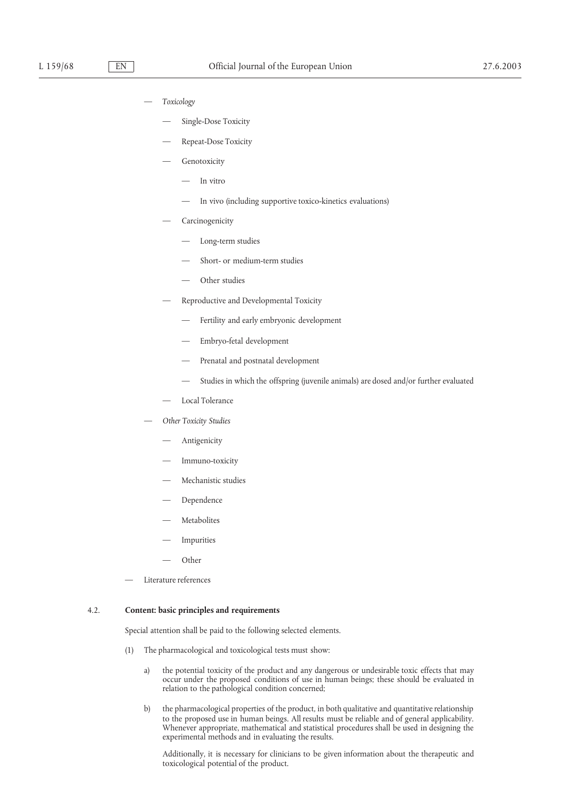- *Toxicology*
	- Single-Dose Toxicity
	- Repeat-Dose Toxicity
	- Genotoxicity
		- In vitro
		- In vivo (including supportive toxico-kinetics evaluations)
	- **Carcinogenicity** 
		- Long-term studies
		- Short- or medium-term studies
		- Other studies
	- Reproductive and Developmental Toxicity
		- Fertility and early embryonic development
		- Embryo-fetal development
		- Prenatal and postnatal development
		- Studies in which the offspring (juvenile animals) are dosed and/or further evaluated
	- Local Tolerance
- *Other Toxicity Studies*
	- Antigenicity
	- Immuno-toxicity
	- Mechanistic studies
	- Dependence
	- **Metabolites**
	- **Impurities**
	- Other
- Literature references

## 4.2. **Content: basic principles and requirements**

Special attention shall be paid to the following selected elements.

- (1) The pharmacological and toxicological tests must show:
	- a) the potential toxicity of the product and any dangerous or undesirable toxic effects that may occur under the proposed conditions of use in human beings; these should be evaluated in relation to the pathological condition concerned;
	- b) the pharmacological properties of the product, in both qualitative and quantitative relationship to the proposed use in human beings. All results must be reliable and of general applicability. Whenever appropriate, mathematical and statistical procedures shall be used in designing the experimental methods and in evaluating the results.

Additionally, it is necessary for clinicians to be given information about the therapeutic and toxicological potential of the product.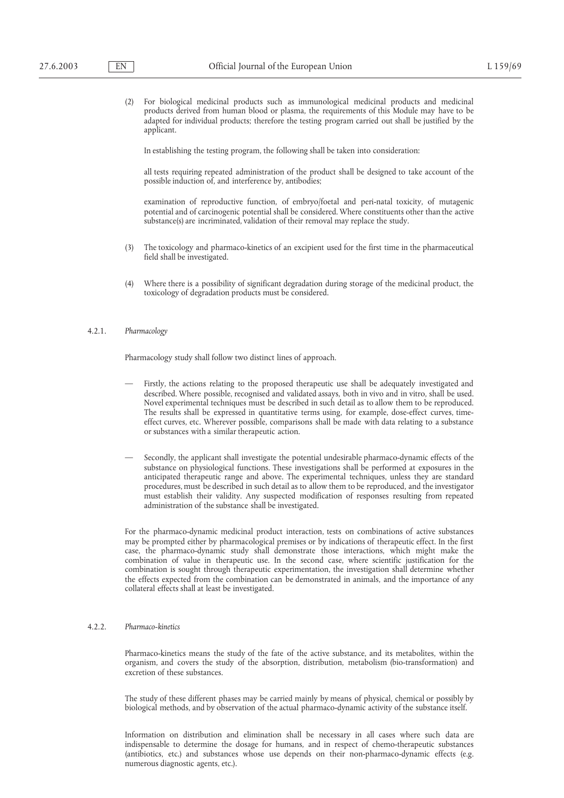(2) For biological medicinal products such as immunological medicinal products and medicinal products derived from human blood or plasma, the requirements of this Module may have to be adapted for individual products; therefore the testing program carried out shall be justified by the applicant.

In establishing the testing program, the following shall be taken into consideration:

all tests requiring repeated administration of the product shall be designed to take account of the possible induction of, and interference by, antibodies;

examination of reproductive function, of embryo/foetal and peri-natal toxicity, of mutagenic potential and of carcinogenic potential shall be considered. Where constituents other than the active substance(s) are incriminated, validation of their removal may replace the study.

- (3) The toxicology and pharmaco-kinetics of an excipient used for the first time in the pharmaceutical field shall be investigated.
- (4) Where there is a possibility of significant degradation during storage of the medicinal product, the toxicology of degradation products must be considered.

## 4.2.1. *Pharmacology*

Pharmacology study shall follow two distinct lines of approach.

- Firstly, the actions relating to the proposed therapeutic use shall be adequately investigated and described. Where possible, recognised and validated assays, both in vivo and in vitro, shall be used. Novel experimental techniques must be described in such detail as to allow them to be reproduced. The results shall be expressed in quantitative terms using, for example, dose-effect curves, timeeffect curves, etc. Wherever possible, comparisons shall be made with data relating to a substance or substances with a similar therapeutic action.
- Secondly, the applicant shall investigate the potential undesirable pharmaco-dynamic effects of the substance on physiological functions. These investigations shall be performed at exposures in the anticipated therapeutic range and above. The experimental techniques, unless they are standard procedures, must be described in such detail as to allow them to be reproduced, and the investigator must establish their validity. Any suspected modification of responses resulting from repeated administration of the substance shall be investigated.

For the pharmaco-dynamic medicinal product interaction, tests on combinations of active substances may be prompted either by pharmacological premises or by indications of therapeutic effect. In the first case, the pharmaco-dynamic study shall demonstrate those interactions, which might make the combination of value in therapeutic use. In the second case, where scientific justification for the combination is sought through therapeutic experimentation, the investigation shall determine whether the effects expected from the combination can be demonstrated in animals, and the importance of any collateral effects shall at least be investigated.

## 4.2.2. *Pharmaco-kinetics*

Pharmaco-kinetics means the study of the fate of the active substance, and its metabolites, within the organism, and covers the study of the absorption, distribution, metabolism (bio-transformation) and excretion of these substances.

The study of these different phases may be carried mainly by means of physical, chemical or possibly by biological methods, and by observation of the actual pharmaco-dynamic activity of the substance itself.

Information on distribution and elimination shall be necessary in all cases where such data are indispensable to determine the dosage for humans, and in respect of chemo-therapeutic substances (antibiotics, etc.) and substances whose use depends on their non-pharmaco-dynamic effects (e.g. numerous diagnostic agents, etc.).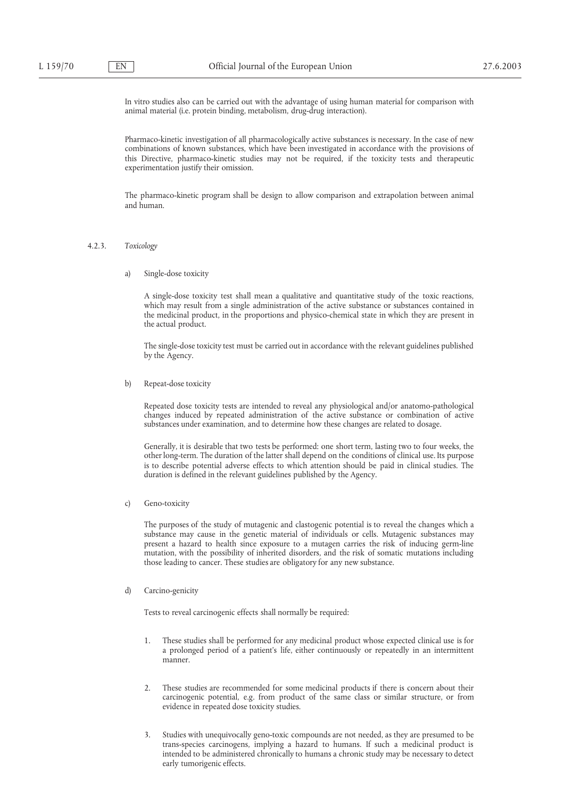In vitro studies also can be carried out with the advantage of using human material for comparison with animal material (i.e. protein binding, metabolism, drug-drug interaction).

Pharmaco-kinetic investigation of all pharmacologically active substances is necessary. In the case of new combinations of known substances, which have been investigated in accordance with the provisions of this Directive, pharmaco-kinetic studies may not be required, if the toxicity tests and therapeutic experimentation justify their omission.

The pharmaco-kinetic program shall be design to allow comparison and extrapolation between animal and human.

## 4.2.3. *Toxicology*

a) Single-dose toxicity

A single-dose toxicity test shall mean a qualitative and quantitative study of the toxic reactions, which may result from a single administration of the active substance or substances contained in the medicinal product, in the proportions and physico-chemical state in which they are present in the actual product.

The single-dose toxicity test must be carried out in accordance with the relevant guidelines published by the Agency.

b) Repeat-dose toxicity

Repeated dose toxicity tests are intended to reveal any physiological and/or anatomo-pathological changes induced by repeated administration of the active substance or combination of active substances under examination, and to determine how these changes are related to dosage.

Generally, it is desirable that two tests be performed: one short term, lasting two to four weeks, the other long-term. The duration of the latter shall depend on the conditions of clinical use. Its purpose is to describe potential adverse effects to which attention should be paid in clinical studies. The duration is defined in the relevant guidelines published by the Agency.

c) Geno-toxicity

The purposes of the study of mutagenic and clastogenic potential is to reveal the changes which a substance may cause in the genetic material of individuals or cells. Mutagenic substances may present a hazard to health since exposure to a mutagen carries the risk of inducing germ-line mutation, with the possibility of inherited disorders, and the risk of somatic mutations including those leading to cancer. These studies are obligatory for any new substance.

#### d) Carcino-genicity

Tests to reveal carcinogenic effects shall normally be required:

- 1. These studies shall be performed for any medicinal product whose expected clinical use is for a prolonged period of a patient's life, either continuously or repeatedly in an intermittent manner.
- 2. These studies are recommended for some medicinal products if there is concern about their carcinogenic potential, e.g. from product of the same class or similar structure, or from evidence in repeated dose toxicity studies.
- 3. Studies with unequivocally geno-toxic compounds are not needed, as they are presumed to be trans-species carcinogens, implying a hazard to humans. If such a medicinal product is intended to be administered chronically to humans a chronic study may be necessary to detect early tumorigenic effects.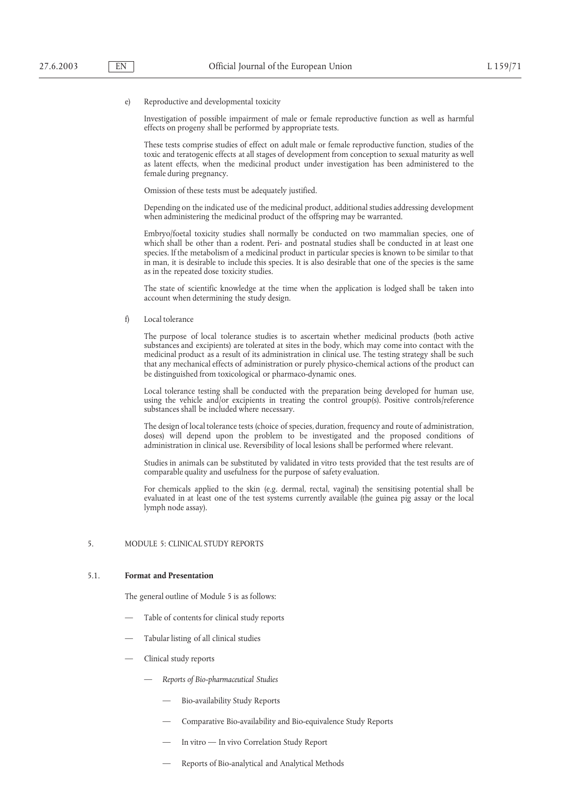#### e) Reproductive and developmental toxicity

Investigation of possible impairment of male or female reproductive function as well as harmful effects on progeny shall be performed by appropriate tests.

These tests comprise studies of effect on adult male or female reproductive function, studies of the toxic and teratogenic effects at all stages of development from conception to sexual maturity as well as latent effects, when the medicinal product under investigation has been administered to the female during pregnancy.

Omission of these tests must be adequately justified.

Depending on the indicated use of the medicinal product, additional studies addressing development when administering the medicinal product of the offspring may be warranted.

Embryo/foetal toxicity studies shall normally be conducted on two mammalian species, one of which shall be other than a rodent. Peri- and postnatal studies shall be conducted in at least one species. If the metabolism of a medicinal product in particular species is known to be similar to that in man, it is desirable to include this species. It is also desirable that one of the species is the same as in the repeated dose toxicity studies.

The state of scientific knowledge at the time when the application is lodged shall be taken into account when determining the study design.

f) Local tolerance

The purpose of local tolerance studies is to ascertain whether medicinal products (both active substances and excipients) are tolerated at sites in the body, which may come into contact with the medicinal product as a result of its administration in clinical use. The testing strategy shall be such that any mechanical effects of administration or purely physico-chemical actions of the product can be distinguished from toxicological or pharmaco-dynamic ones.

Local tolerance testing shall be conducted with the preparation being developed for human use, using the vehicle and/or excipients in treating the control group(s). Positive controls/reference substances shall be included where necessary.

The design of local tolerance tests (choice of species, duration, frequency and route of administration, doses) will depend upon the problem to be investigated and the proposed conditions of administration in clinical use. Reversibility of local lesions shall be performed where relevant.

Studies in animals can be substituted by validated in vitro tests provided that the test results are of comparable quality and usefulness for the purpose of safety evaluation.

For chemicals applied to the skin (e.g. dermal, rectal, vaginal) the sensitising potential shall be evaluated in at least one of the test systems currently available (the guinea pig assay or the local lymph node assay).

# 5. MODULE 5: CLINICAL STUDY REPORTS

## 5.1. **Format and Presentation**

The general outline of Module 5 is as follows:

- Table of contents for clinical study reports
- Tabular listing of all clinical studies
- Clinical study reports
	- *Reports of Bio-pharmaceutical Studies*
		- Bio-availability Study Reports
		- Comparative Bio-availability and Bio-equivalence Study Reports
		- In vitro In vivo Correlation Study Report
		- Reports of Bio-analytical and Analytical Methods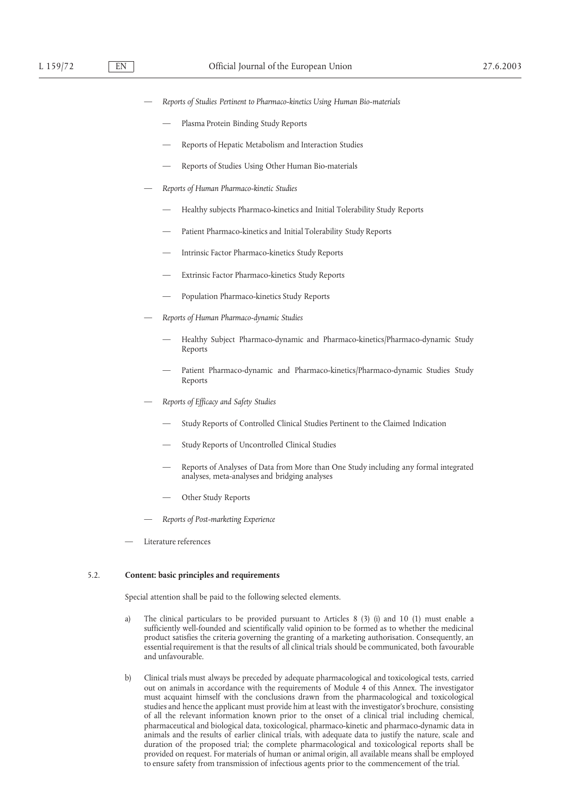- *Reports of Studies Pertinent to Pharmaco-kinetics Using Human Bio-materials*
	- Plasma Protein Binding Study Reports
	- Reports of Hepatic Metabolism and Interaction Studies
	- Reports of Studies Using Other Human Bio-materials
- *Reports of Human Pharmaco-kinetic Studies*
	- Healthy subjects Pharmaco-kinetics and Initial Tolerability Study Reports
	- Patient Pharmaco-kinetics and Initial Tolerability Study Reports
	- Intrinsic Factor Pharmaco-kinetics Study Reports
	- Extrinsic Factor Pharmaco-kinetics Study Reports
	- Population Pharmaco-kinetics Study Reports
- *Reports of Human Pharmaco-dynamic Studies*
	- Healthy Subject Pharmaco-dynamic and Pharmaco-kinetics/Pharmaco-dynamic Study Reports
	- Patient Pharmaco-dynamic and Pharmaco-kinetics/Pharmaco-dynamic Studies Study Reports
- *Reports of Efficacy and Safety Studies*
	- Study Reports of Controlled Clinical Studies Pertinent to the Claimed Indication
	- Study Reports of Uncontrolled Clinical Studies
	- Reports of Analyses of Data from More than One Study including any formal integrated analyses, meta-analyses and bridging analyses
	- Other Study Reports
- *Reports of Post-marketing Experience*
- Literature references

## 5.2. **Content: basic principles and requirements**

Special attention shall be paid to the following selected elements.

- a) The clinical particulars to be provided pursuant to Articles 8 (3) (i) and 10 (1) must enable a sufficiently well-founded and scientifically valid opinion to be formed as to whether the medicinal product satisfies the criteria governing the granting of a marketing authorisation. Consequently, an essential requirement is that the results of all clinical trials should be communicated, both favourable and unfavourable.
- b) Clinical trials must always be preceded by adequate pharmacological and toxicological tests, carried out on animals in accordance with the requirements of Module 4 of this Annex. The investigator must acquaint himself with the conclusions drawn from the pharmacological and toxicological studies and hence the applicant must provide him at least with the investigator's brochure, consisting of all the relevant information known prior to the onset of a clinical trial including chemical, pharmaceutical and biological data, toxicological, pharmaco-kinetic and pharmaco-dynamic data in animals and the results of earlier clinical trials, with adequate data to justify the nature, scale and duration of the proposed trial; the complete pharmacological and toxicological reports shall be provided on request. For materials of human or animal origin, all available means shall be employed to ensure safety from transmission of infectious agents prior to the commencement of the trial.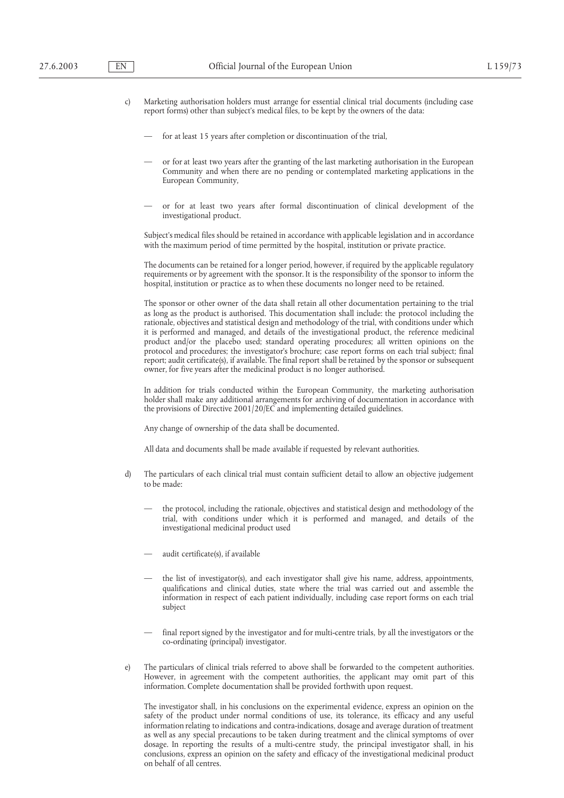- c) Marketing authorisation holders must arrange for essential clinical trial documents (including case report forms) other than subject's medical files, to be kept by the owners of the data:
	- for at least 15 years after completion or discontinuation of the trial,
	- or for at least two years after the granting of the last marketing authorisation in the European Community and when there are no pending or contemplated marketing applications in the European Community,
	- or for at least two years after formal discontinuation of clinical development of the investigational product.

Subject's medical files should be retained in accordance with applicable legislation and in accordance with the maximum period of time permitted by the hospital, institution or private practice.

The documents can be retained for a longer period, however, if required by the applicable regulatory requirements or by agreement with the sponsor. It is the responsibility of the sponsor to inform the hospital, institution or practice as to when these documents no longer need to be retained.

The sponsor or other owner of the data shall retain all other documentation pertaining to the trial as long as the product is authorised. This documentation shall include: the protocol including the rationale, objectives and statistical design and methodology of the trial, with conditions under which it is performed and managed, and details of the investigational product, the reference medicinal product and/or the placebo used; standard operating procedures; all written opinions on the protocol and procedures; the investigator's brochure; case report forms on each trial subject; final report; audit certificate(s), if available. The final report shall be retained by the sponsor or subsequent owner, for five years after the medicinal product is no longer authorised.

In addition for trials conducted within the European Community, the marketing authorisation holder shall make any additional arrangements for archiving of documentation in accordance with the provisions of Directive 2001/20/EC and implementing detailed guidelines.

Any change of ownership of the data shall be documented.

All data and documents shall be made available if requested by relevant authorities.

- d) The particulars of each clinical trial must contain sufficient detail to allow an objective judgement to be made:
	- the protocol, including the rationale, objectives and statistical design and methodology of the trial, with conditions under which it is performed and managed, and details of the investigational medicinal product used
	- audit certificate(s), if available
	- the list of investigator(s), and each investigator shall give his name, address, appointments, qualifications and clinical duties, state where the trial was carried out and assemble the information in respect of each patient individually, including case report forms on each trial subject
	- final report signed by the investigator and for multi-centre trials, by all the investigators or the co-ordinating (principal) investigator.
- e) The particulars of clinical trials referred to above shall be forwarded to the competent authorities. However, in agreement with the competent authorities, the applicant may omit part of this information. Complete documentation shall be provided forthwith upon request.

The investigator shall, in his conclusions on the experimental evidence, express an opinion on the safety of the product under normal conditions of use, its tolerance, its efficacy and any useful information relating to indications and contra-indications, dosage and average duration of treatment as well as any special precautions to be taken during treatment and the clinical symptoms of over dosage. In reporting the results of a multi-centre study, the principal investigator shall, in his conclusions, express an opinion on the safety and efficacy of the investigational medicinal product on behalf of all centres.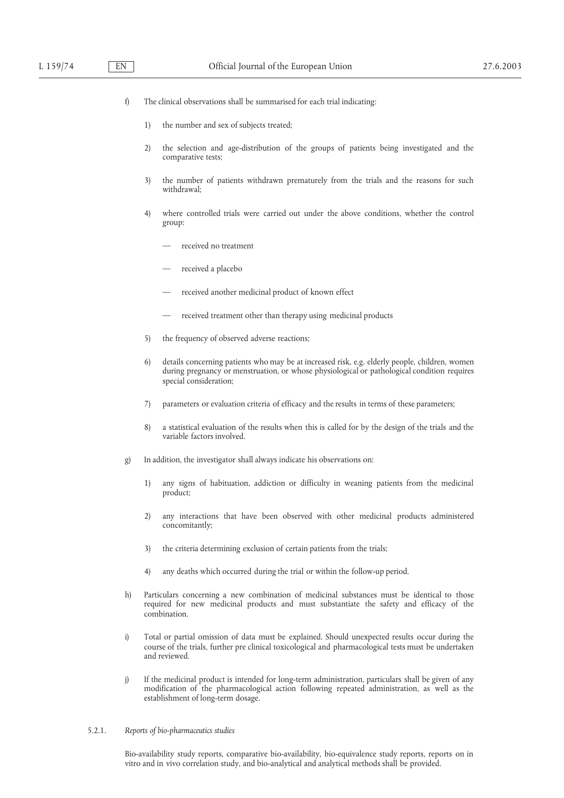- f) The clinical observations shall be summarised for each trial indicating:
	- 1) the number and sex of subjects treated;
	- 2) the selection and age-distribution of the groups of patients being investigated and the comparative tests;
	- 3) the number of patients withdrawn prematurely from the trials and the reasons for such withdrawal;
	- 4) where controlled trials were carried out under the above conditions, whether the control group:
		- received no treatment
		- received a placebo
		- received another medicinal product of known effect
		- received treatment other than therapy using medicinal products
	- 5) the frequency of observed adverse reactions;
	- 6) details concerning patients who may be at increased risk, e.g. elderly people, children, women during pregnancy or menstruation, or whose physiological or pathological condition requires special consideration;
	- 7) parameters or evaluation criteria of efficacy and the results in terms of these parameters;
	- 8) a statistical evaluation of the results when this is called for by the design of the trials and the variable factors involved.
- g) In addition, the investigator shall always indicate his observations on:
	- 1) any signs of habituation, addiction or difficulty in weaning patients from the medicinal product;
	- 2) any interactions that have been observed with other medicinal products administered concomitantly;
	- 3) the criteria determining exclusion of certain patients from the trials;
	- 4) any deaths which occurred during the trial or within the follow-up period.
- h) Particulars concerning a new combination of medicinal substances must be identical to those required for new medicinal products and must substantiate the safety and efficacy of the combination.
- i) Total or partial omission of data must be explained. Should unexpected results occur during the course of the trials, further pre clinical toxicological and pharmacological tests must be undertaken and reviewed.
- j) If the medicinal product is intended for long-term administration, particulars shall be given of any modification of the pharmacological action following repeated administration, as well as the establishment of long-term dosage.

## 5.2.1. *Reports of bio-pharmaceutics studies*

Bio-availability study reports, comparative bio-availability, bio-equivalence study reports, reports on in vitro and in vivo correlation study, and bio-analytical and analytical methods shall be provided.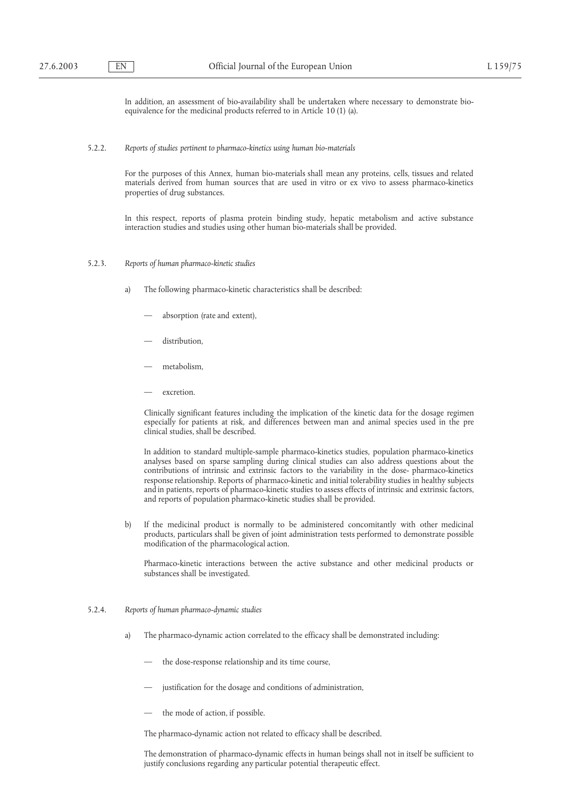In addition, an assessment of bio-availability shall be undertaken where necessary to demonstrate bioequivalence for the medicinal products referred to in Article 10 (1) (a).

## 5.2.2. *Reports of studies pertinent to pharmaco-kinetics using human bio-materials*

For the purposes of this Annex, human bio-materials shall mean any proteins, cells, tissues and related materials derived from human sources that are used in vitro or ex vivo to assess pharmaco-kinetics properties of drug substances.

In this respect, reports of plasma protein binding study, hepatic metabolism and active substance interaction studies and studies using other human bio-materials shall be provided.

- 5.2.3. *Reports of human pharmaco-kinetic studies*
	- a) The following pharmaco-kinetic characteristics shall be described:
		- absorption (rate and extent),
		- distribution.
		- metabolism,
		- excretion.

Clinically significant features including the implication of the kinetic data for the dosage regimen especially for patients at risk, and differences between man and animal species used in the pre clinical studies, shall be described.

In addition to standard multiple-sample pharmaco-kinetics studies, population pharmaco-kinetics analyses based on sparse sampling during clinical studies can also address questions about the contributions of intrinsic and extrinsic factors to the variability in the dose- pharmaco-kinetics response relationship. Reports of pharmaco-kinetic and initial tolerability studies in healthy subjects and in patients, reports of pharmaco-kinetic studies to assess effects of intrinsic and extrinsic factors, and reports of population pharmaco-kinetic studies shall be provided.

b) If the medicinal product is normally to be administered concomitantly with other medicinal products, particulars shall be given of joint administration tests performed to demonstrate possible modification of the pharmacological action.

Pharmaco-kinetic interactions between the active substance and other medicinal products or substances shall be investigated.

#### 5.2.4. *Reports of human pharmaco-dynamic studies*

- a) The pharmaco-dynamic action correlated to the efficacy shall be demonstrated including:
	- the dose-response relationship and its time course,
	- justification for the dosage and conditions of administration,
	- the mode of action, if possible.

The pharmaco-dynamic action not related to efficacy shall be described.

The demonstration of pharmaco-dynamic effects in human beings shall not in itself be sufficient to justify conclusions regarding any particular potential therapeutic effect.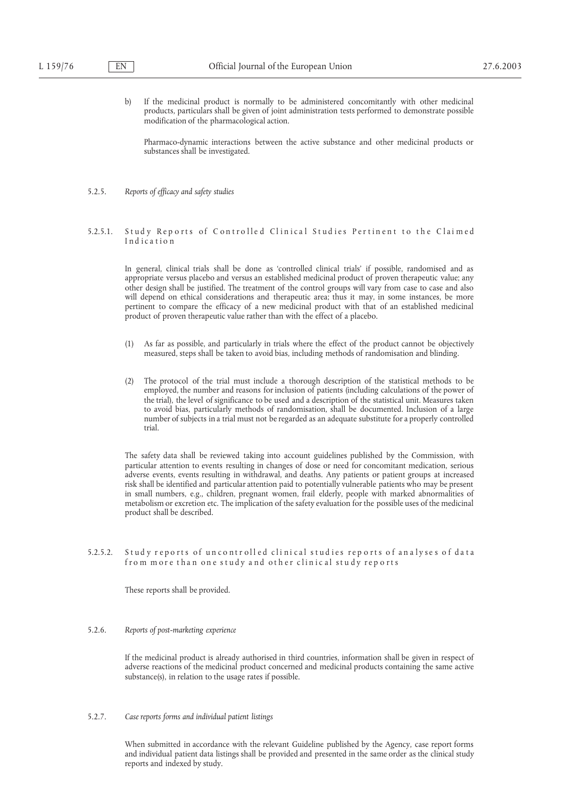b) If the medicinal product is normally to be administered concomitantly with other medicinal products, particulars shall be given of joint administration tests performed to demonstrate possible modification of the pharmacological action.

Pharmaco-dynamic interactions between the active substance and other medicinal products or substances shall be investigated.

# 5.2.5. *Reports of efficacy and safety studies*

## 5.2.5.1. Study Reports of Controlled Clinical Studies Pertinent to the Claimed Ind ication

In general, clinical trials shall be done as 'controlled clinical trials' if possible, randomised and as appropriate versus placebo and versus an established medicinal product of proven therapeutic value; any other design shall be justified. The treatment of the control groups will vary from case to case and also will depend on ethical considerations and therapeutic area; thus it may, in some instances, be more pertinent to compare the efficacy of a new medicinal product with that of an established medicinal product of proven therapeutic value rather than with the effect of a placebo.

- (1) As far as possible, and particularly in trials where the effect of the product cannot be objectively measured, steps shall be taken to avoid bias, including methods of randomisation and blinding.
- (2) The protocol of the trial must include a thorough description of the statistical methods to be employed, the number and reasons for inclusion of patients (including calculations of the power of the trial), the level of significance to be used and a description of the statistical unit. Measures taken to avoid bias, particularly methods of randomisation, shall be documented. Inclusion of a large number of subjects in a trial must not be regarded as an adequate substitute for a properly controlled trial.

The safety data shall be reviewed taking into account guidelines published by the Commission, with particular attention to events resulting in changes of dose or need for concomitant medication, serious adverse events, events resulting in withdrawal, and deaths. Any patients or patient groups at increased risk shall be identified and particular attention paid to potentially vulnerable patients who may be present in small numbers, e.g., children, pregnant women, frail elderly, people with marked abnormalities of metabolism or excretion etc. The implication of the safety evaluation for the possible uses of the medicinal product shall be described.

## 5.2.5.2. Study reports of uncontrolled clinical studies reports of analyses of data from more than one study and other clinical study reports

These reports shall be provided.

#### 5.2.6. *Reports of post-marketing experience*

If the medicinal product is already authorised in third countries, information shall be given in respect of adverse reactions of the medicinal product concerned and medicinal products containing the same active substance(s), in relation to the usage rates if possible.

5.2.7. *Case reports forms and individual patient listings*

When submitted in accordance with the relevant Guideline published by the Agency, case report forms and individual patient data listings shall be provided and presented in the same order as the clinical study reports and indexed by study.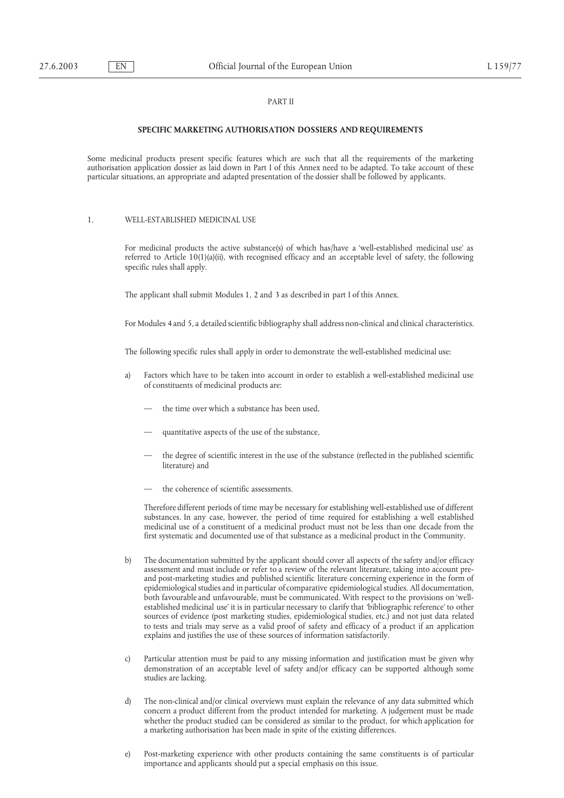# PART II

## **SPECIFIC MARKETING AUTHORISATION DOSSIERS AND REQUIREMENTS**

Some medicinal products present specific features which are such that all the requirements of the marketing authorisation application dossier as laid down in Part I of this Annex need to be adapted. To take account of these particular situations, an appropriate and adapted presentation of the dossier shall be followed by applicants.

1. WELL-ESTABLISHED MEDICINAL USE

For medicinal products the active substance(s) of which has/have a 'well-established medicinal use' as referred to Article  $10(1)(a)(ii)$ , with recognised efficacy and an acceptable level of safety, the following specific rules shall apply.

The applicant shall submit Modules 1, 2 and 3 as described in part I of this Annex.

For Modules 4 and 5, a detailed scientific bibliography shall address non-clinical and clinical characteristics.

The following specific rules shall apply in order to demonstrate the well-established medicinal use:

- a) Factors which have to be taken into account in order to establish a well-established medicinal use of constituents of medicinal products are:
	- the time over which a substance has been used,
	- quantitative aspects of the use of the substance,
	- the degree of scientific interest in the use of the substance (reflected in the published scientific literature) and
	- the coherence of scientific assessments.

Therefore different periods of time may be necessary for establishing well-established use of different substances. In any case, however, the period of time required for establishing a well established medicinal use of a constituent of a medicinal product must not be less than one decade from the first systematic and documented use of that substance as a medicinal product in the Community.

- b) The documentation submitted by the applicant should cover all aspects of the safety and/or efficacy assessment and must include or refer to a review of the relevant literature, taking into account preand post-marketing studies and published scientific literature concerning experience in the form of epidemiological studies and in particular of comparative epidemiological studies. All documentation, both favourable and unfavourable, must be communicated. With respect to the provisions on 'wellestablished medicinal use' it is in particular necessary to clarify that 'bibliographic reference' to other sources of evidence (post marketing studies, epidemiological studies, etc.) and not just data related to tests and trials may serve as a valid proof of safety and efficacy of a product if an application explains and justifies the use of these sources of information satisfactorily.
- c) Particular attention must be paid to any missing information and justification must be given why demonstration of an acceptable level of safety and/or efficacy can be supported although some studies are lacking.
- d) The non-clinical and/or clinical overviews must explain the relevance of any data submitted which concern a product different from the product intended for marketing. A judgement must be made whether the product studied can be considered as similar to the product, for which application for a marketing authorisation has been made in spite of the existing differences.
- e) Post-marketing experience with other products containing the same constituents is of particular importance and applicants should put a special emphasis on this issue.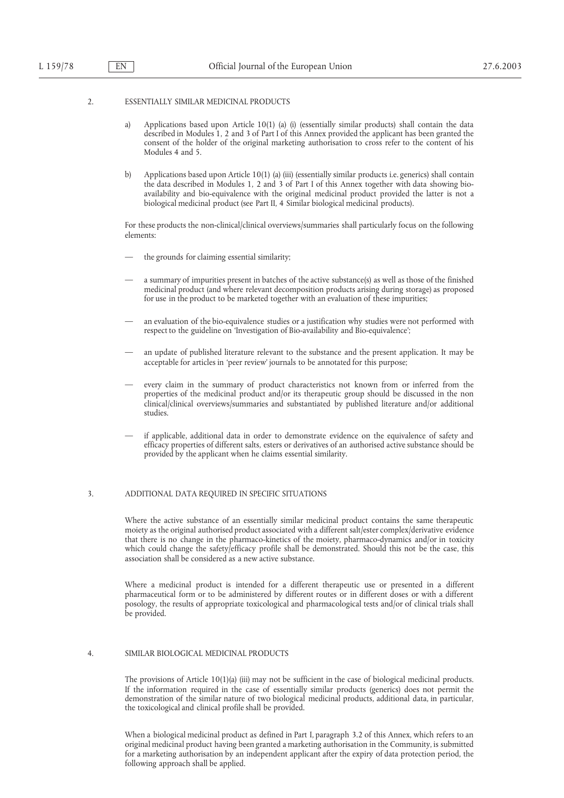## 2. ESSENTIALLY SIMILAR MEDICINAL PRODUCTS

- a) Applications based upon Article 10(1) (a) (i) (essentially similar products) shall contain the data described in Modules 1, 2 and 3 of Part I of this Annex provided the applicant has been granted the consent of the holder of the original marketing authorisation to cross refer to the content of his Modules 4 and 5.
- b) Applications based upon Article 10(1) (a) (iii) (essentially similar products i.e. generics) shall contain the data described in Modules 1, 2 and 3 of Part I of this Annex together with data showing bioavailability and bio-equivalence with the original medicinal product provided the latter is not a biological medicinal product (see Part II, 4 Similar biological medicinal products).

For these products the non-clinical/clinical overviews/summaries shall particularly focus on the following elements:

- the grounds for claiming essential similarity;
- a summary of impurities present in batches of the active substance(s) as well as those of the finished medicinal product (and where relevant decomposition products arising during storage) as proposed for use in the product to be marketed together with an evaluation of these impurities;
- an evaluation of the bio-equivalence studies or a justification why studies were not performed with respect to the guideline on 'Investigation of Bio-availability and Bio-equivalence';
- an update of published literature relevant to the substance and the present application. It may be acceptable for articles in 'peer review' journals to be annotated for this purpose;
- every claim in the summary of product characteristics not known from or inferred from the properties of the medicinal product and/or its therapeutic group should be discussed in the non clinical/clinical overviews/summaries and substantiated by published literature and/or additional studies.
- if applicable, additional data in order to demonstrate evidence on the equivalence of safety and efficacy properties of different salts, esters or derivatives of an authorised active substance should be provided by the applicant when he claims essential similarity.

## 3. ADDITIONAL DATA REQUIRED IN SPECIFIC SITUATIONS

Where the active substance of an essentially similar medicinal product contains the same therapeutic moiety as the original authorised product associated with a different salt/ester complex/derivative evidence that there is no change in the pharmaco-kinetics of the moiety, pharmaco-dynamics and/or in toxicity which could change the safety/efficacy profile shall be demonstrated. Should this not be the case, this association shall be considered as a new active substance.

Where a medicinal product is intended for a different therapeutic use or presented in a different pharmaceutical form or to be administered by different routes or in different doses or with a different posology, the results of appropriate toxicological and pharmacological tests and/or of clinical trials shall be provided.

## 4. SIMILAR BIOLOGICAL MEDICINAL PRODUCTS

The provisions of Article 10(1)(a) (iii) may not be sufficient in the case of biological medicinal products. If the information required in the case of essentially similar products (generics) does not permit the demonstration of the similar nature of two biological medicinal products, additional data, in particular, the toxicological and clinical profile shall be provided.

When a biological medicinal product as defined in Part I, paragraph 3.2 of this Annex, which refers to an original medicinal product having been granted a marketing authorisation in the Community, is submitted for a marketing authorisation by an independent applicant after the expiry of data protection period, the following approach shall be applied.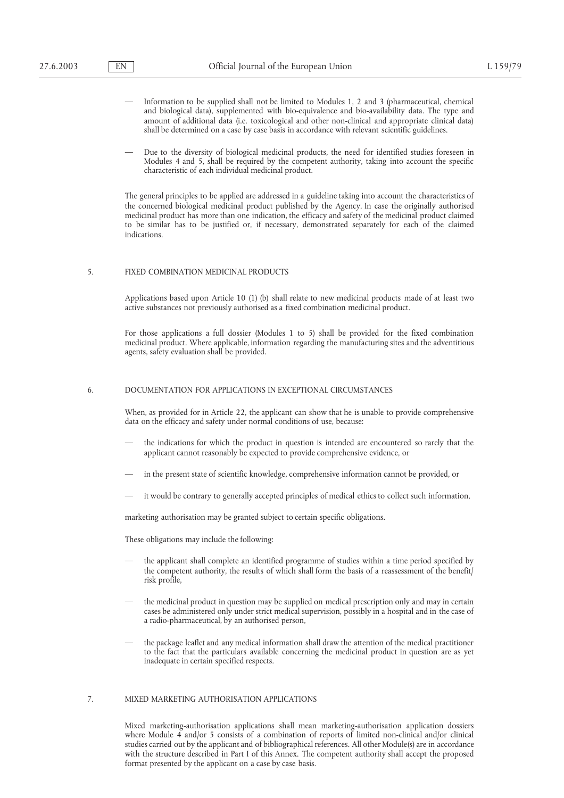- Information to be supplied shall not be limited to Modules 1, 2 and 3 (pharmaceutical, chemical and biological data), supplemented with bio-equivalence and bio-availability data. The type and amount of additional data (i.e. toxicological and other non-clinical and appropriate clinical data) shall be determined on a case by case basis in accordance with relevant scientific guidelines.
- Due to the diversity of biological medicinal products, the need for identified studies foreseen in Modules 4 and 5, shall be required by the competent authority, taking into account the specific characteristic of each individual medicinal product.

The general principles to be applied are addressed in a guideline taking into account the characteristics of the concerned biological medicinal product published by the Agency. In case the originally authorised medicinal product has more than one indication, the efficacy and safety of the medicinal product claimed to be similar has to be justified or, if necessary, demonstrated separately for each of the claimed indications.

## 5. FIXED COMBINATION MEDICINAL PRODUCTS

Applications based upon Article 10 (1) (b) shall relate to new medicinal products made of at least two active substances not previously authorised as a fixed combination medicinal product.

For those applications a full dossier (Modules 1 to 5) shall be provided for the fixed combination medicinal product. Where applicable, information regarding the manufacturing sites and the adventitious agents, safety evaluation shall be provided.

## 6. DOCUMENTATION FOR APPLICATIONS IN EXCEPTIONAL CIRCUMSTANCES

When, as provided for in Article 22, the applicant can show that he is unable to provide comprehensive data on the efficacy and safety under normal conditions of use, because:

- the indications for which the product in question is intended are encountered so rarely that the applicant cannot reasonably be expected to provide comprehensive evidence, or
- in the present state of scientific knowledge, comprehensive information cannot be provided, or
- it would be contrary to generally accepted principles of medical ethics to collect such information,

marketing authorisation may be granted subject to certain specific obligations.

These obligations may include the following:

- the applicant shall complete an identified programme of studies within a time period specified by the competent authority, the results of which shall form the basis of a reassessment of the benefit/ risk profile,
- the medicinal product in question may be supplied on medical prescription only and may in certain cases be administered only under strict medical supervision, possibly in a hospital and in the case of a radio-pharmaceutical, by an authorised person,
- the package leaflet and any medical information shall draw the attention of the medical practitioner to the fact that the particulars available concerning the medicinal product in question are as yet inadequate in certain specified respects.

## 7. MIXED MARKETING AUTHORISATION APPLICATIONS

Mixed marketing-authorisation applications shall mean marketing-authorisation application dossiers where Module 4 and/or 5 consists of a combination of reports of limited non-clinical and/or clinical studies carried out by the applicant and of bibliographical references. All other Module(s) are in accordance with the structure described in Part I of this Annex. The competent authority shall accept the proposed format presented by the applicant on a case by case basis.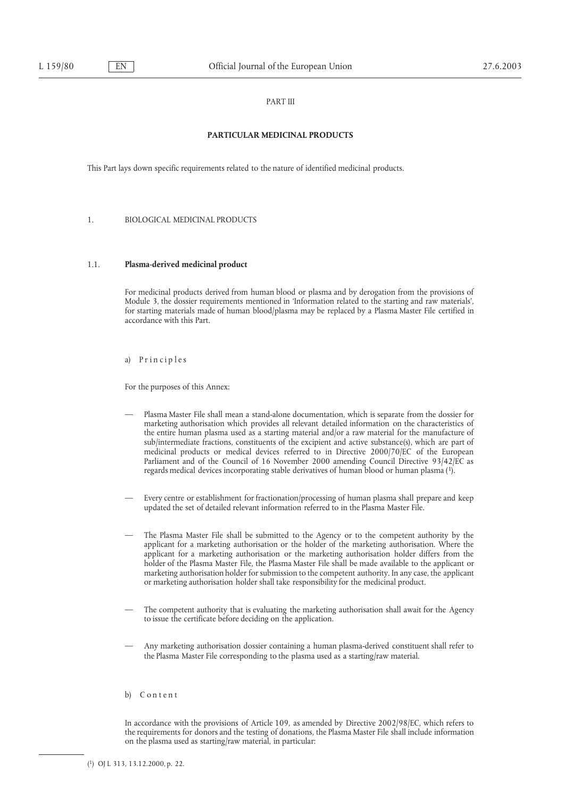## PART III

# **PARTICULAR MEDICINAL PRODUCTS**

This Part lays down specific requirements related to the nature of identified medicinal products.

1. BIOLOGICAL MEDICINAL PRODUCTS

# 1.1. **Plasma-derived medicinal product**

For medicinal products derived from human blood or plasma and by derogation from the provisions of Module 3, the dossier requirements mentioned in 'Information related to the starting and raw materials', for starting materials made of human blood/plasma may be replaced by a Plasma Master File certified in accordance with this Part.

a) Principles

For the purposes of this Annex:

- Plasma Master File shall mean a stand-alone documentation, which is separate from the dossier for marketing authorisation which provides all relevant detailed information on the characteristics of the entire human plasma used as a starting material and/or a raw material for the manufacture of sub/intermediate fractions, constituents of the excipient and active substance(s), which are part of medicinal products or medical devices referred to in Directive 2000/70/EC of the European Parliament and of the Council of 16 November 2000 amending Council Directive 93/42/EC as regards medical devices incorporating stable derivatives of human blood or human plasma (1).
- Every centre or establishment for fractionation/processing of human plasma shall prepare and keep updated the set of detailed relevant information referred to in the Plasma Master File.
- The Plasma Master File shall be submitted to the Agency or to the competent authority by the applicant for a marketing authorisation or the holder of the marketing authorisation. Where the applicant for a marketing authorisation or the marketing authorisation holder differs from the holder of the Plasma Master File, the Plasma Master File shall be made available to the applicant or marketing authorisation holder for submission to the competent authority. In any case, the applicant or marketing authorisation holder shall take responsibility for the medicinal product.
- The competent authority that is evaluating the marketing authorisation shall await for the Agency to issue the certificate before deciding on the application.
- Any marketing authorisation dossier containing a human plasma-derived constituent shall refer to the Plasma Master File corresponding to the plasma used as a starting/raw material.
- b) Content

In accordance with the provisions of Article 109, as amended by Directive 2002/98/EC, which refers to the requirements for donors and the testing of donations, the Plasma Master File shall include information on the plasma used as starting/raw material, in particular: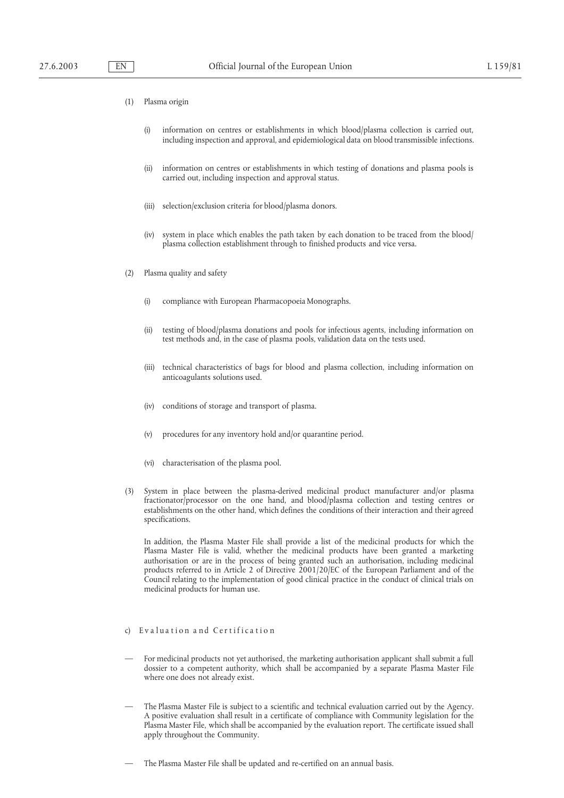- (1) Plasma origin
	- (i) information on centres or establishments in which blood/plasma collection is carried out, including inspection and approval, and epidemiological data on blood transmissible infections.
	- (ii) information on centres or establishments in which testing of donations and plasma pools is carried out, including inspection and approval status.
	- (iii) selection/exclusion criteria for blood/plasma donors.
	- (iv) system in place which enables the path taken by each donation to be traced from the blood/ plasma collection establishment through to finished products and vice versa.
- (2) Plasma quality and safety
	- (i) compliance with European Pharmacopoeia Monographs.
	- (ii) testing of blood/plasma donations and pools for infectious agents, including information on test methods and, in the case of plasma pools, validation data on the tests used.
	- (iii) technical characteristics of bags for blood and plasma collection, including information on anticoagulants solutions used.
	- (iv) conditions of storage and transport of plasma.
	- (v) procedures for any inventory hold and/or quarantine period.
	- (vi) characterisation of the plasma pool.
- (3) System in place between the plasma-derived medicinal product manufacturer and/or plasma fractionator/processor on the one hand, and blood/plasma collection and testing centres or establishments on the other hand, which defines the conditions of their interaction and their agreed specifications.

In addition, the Plasma Master File shall provide a list of the medicinal products for which the Plasma Master File is valid, whether the medicinal products have been granted a marketing authorisation or are in the process of being granted such an authorisation, including medicinal products referred to in Article 2 of Directive 2001/20/EC of the European Parliament and of the Council relating to the implementation of good clinical practice in the conduct of clinical trials on medicinal products for human use.

## c) Evaluation and Certification

- For medicinal products not yet authorised, the marketing authorisation applicant shall submit a full dossier to a competent authority, which shall be accompanied by a separate Plasma Master File where one does not already exist.
- The Plasma Master File is subject to a scientific and technical evaluation carried out by the Agency. A positive evaluation shall result in a certificate of compliance with Community legislation for the Plasma Master File, which shall be accompanied by the evaluation report. The certificate issued shall apply throughout the Community.
- The Plasma Master File shall be updated and re-certified on an annual basis.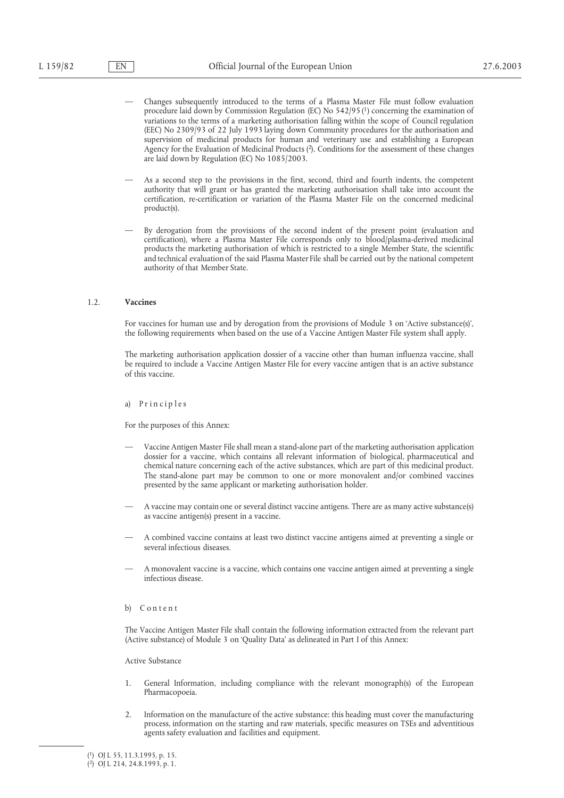- Changes subsequently introduced to the terms of a Plasma Master File must follow evaluation procedure laid down by Commission Regulation (EC) No 542/95 (1) concerning the examination of variations to the terms of a marketing authorisation falling within the scope of Council regulation (EEC) No 2309/93 of 22 July 1993 laying down Community procedures for the authorisation and supervision of medicinal products for human and veterinary use and establishing a European Agency for the Evaluation of Medicinal Products (2). Conditions for the assessment of these changes are laid down by Regulation (EC) No 1085/2003.
- As a second step to the provisions in the first, second, third and fourth indents, the competent authority that will grant or has granted the marketing authorisation shall take into account the certification, re-certification or variation of the Plasma Master File on the concerned medicinal product(s).
- By derogation from the provisions of the second indent of the present point (evaluation and certification), where a Plasma Master File corresponds only to blood/plasma-derived medicinal products the marketing authorisation of which is restricted to a single Member State, the scientific and technical evaluation of the said Plasma Master File shall be carried out by the national competent authority of that Member State.

## 1.2. **Vaccines**

For vaccines for human use and by derogation from the provisions of Module 3 on 'Active substance(s)', the following requirements when based on the use of a Vaccine Antigen Master File system shall apply.

The marketing authorisation application dossier of a vaccine other than human influenza vaccine, shall be required to include a Vaccine Antigen Master File for every vaccine antigen that is an active substance of this vaccine.

#### a) Principles

For the purposes of this Annex:

- Vaccine Antigen Master File shall mean a stand-alone part of the marketing authorisation application dossier for a vaccine, which contains all relevant information of biological, pharmaceutical and chemical nature concerning each of the active substances, which are part of this medicinal product. The stand-alone part may be common to one or more monovalent and/or combined vaccines presented by the same applicant or marketing authorisation holder.
- A vaccine may contain one or several distinct vaccine antigens. There are as many active substance(s) as vaccine antigen(s) present in a vaccine.
- A combined vaccine contains at least two distinct vaccine antigens aimed at preventing a single or several infectious diseases.
- A monovalent vaccine is a vaccine, which contains one vaccine antigen aimed at preventing a single infectious disease.

#### b) Content

The Vaccine Antigen Master File shall contain the following information extracted from the relevant part (Active substance) of Module 3 on 'Quality Data' as delineated in Part I of this Annex:

## Active Substance

- 1. General Information, including compliance with the relevant monograph(s) of the European Pharmacopoeia.
- 2. Information on the manufacture of the active substance: this heading must cover the manufacturing process, information on the starting and raw materials, specific measures on TSEs and adventitious agents safety evaluation and facilities and equipment.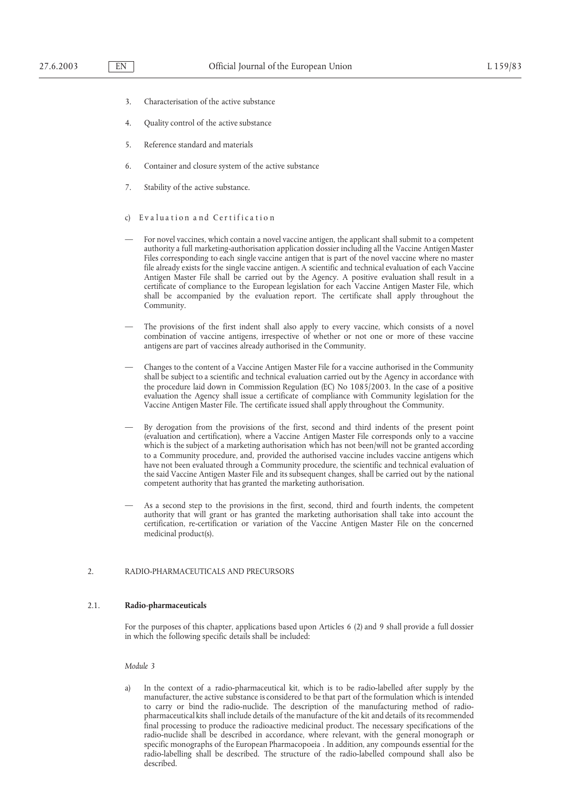- 3. Characterisation of the active substance
- 4. Quality control of the active substance
- 5. Reference standard and materials
- 6. Container and closure system of the active substance
- 7. Stability of the active substance.
- c) Evaluation and Certification
- For novel vaccines, which contain a novel vaccine antigen, the applicant shall submit to a competent authority a full marketing-authorisation application dossier including all the Vaccine Antigen Master Files corresponding to each single vaccine antigen that is part of the novel vaccine where no master file already exists for the single vaccine antigen. A scientific and technical evaluation of each Vaccine Antigen Master File shall be carried out by the Agency. A positive evaluation shall result in a certificate of compliance to the European legislation for each Vaccine Antigen Master File, which shall be accompanied by the evaluation report. The certificate shall apply throughout the Community.
- The provisions of the first indent shall also apply to every vaccine, which consists of a novel combination of vaccine antigens, irrespective of whether or not one or more of these vaccine antigens are part of vaccines already authorised in the Community.
- Changes to the content of a Vaccine Antigen Master File for a vaccine authorised in the Community shall be subject to a scientific and technical evaluation carried out by the Agency in accordance with the procedure laid down in Commission Regulation (EC) No 1085/2003. In the case of a positive evaluation the Agency shall issue a certificate of compliance with Community legislation for the Vaccine Antigen Master File. The certificate issued shall apply throughout the Community.
- By derogation from the provisions of the first, second and third indents of the present point (evaluation and certification), where a Vaccine Antigen Master File corresponds only to a vaccine which is the subject of a marketing authorisation which has not been/will not be granted according to a Community procedure, and, provided the authorised vaccine includes vaccine antigens which have not been evaluated through a Community procedure, the scientific and technical evaluation of the said Vaccine Antigen Master File and its subsequent changes, shall be carried out by the national competent authority that has granted the marketing authorisation.
- As a second step to the provisions in the first, second, third and fourth indents, the competent authority that will grant or has granted the marketing authorisation shall take into account the certification, re-certification or variation of the Vaccine Antigen Master File on the concerned medicinal product(s).

#### 2. RADIO-PHARMACEUTICALS AND PRECURSORS

#### 2.1. **Radio-pharmaceuticals**

For the purposes of this chapter, applications based upon Articles 6 (2) and 9 shall provide a full dossier in which the following specific details shall be included:

*Module 3*

In the context of a radio-pharmaceutical kit, which is to be radio-labelled after supply by the manufacturer, the active substance is considered to be that part of the formulation which is intended to carry or bind the radio-nuclide. The description of the manufacturing method of radiopharmaceutical kits shall include details of the manufacture of the kit and details of its recommended final processing to produce the radioactive medicinal product. The necessary specifications of the radio-nuclide shall be described in accordance, where relevant, with the general monograph or specific monographs of the European Pharmacopoeia . In addition, any compounds essential for the radio-labelling shall be described. The structure of the radio-labelled compound shall also be described.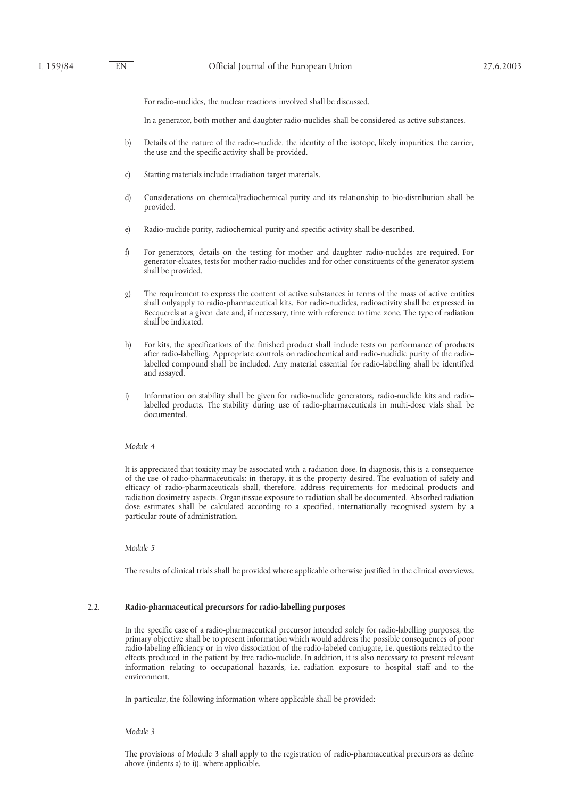For radio-nuclides, the nuclear reactions involved shall be discussed.

In a generator, both mother and daughter radio-nuclides shall be considered as active substances.

- b) Details of the nature of the radio-nuclide, the identity of the isotope, likely impurities, the carrier, the use and the specific activity shall be provided.
- c) Starting materials include irradiation target materials.
- d) Considerations on chemical/radiochemical purity and its relationship to bio-distribution shall be provided.
- e) Radio-nuclide purity, radiochemical purity and specific activity shall be described.
- f) For generators, details on the testing for mother and daughter radio-nuclides are required. For generator-eluates, tests for mother radio-nuclides and for other constituents of the generator system shall be provided.
- g) The requirement to express the content of active substances in terms of the mass of active entities shall onlyapply to radio-pharmaceutical kits. For radio-nuclides, radioactivity shall be expressed in Becquerels at a given date and, if necessary, time with reference to time zone. The type of radiation shall be indicated.
- h) For kits, the specifications of the finished product shall include tests on performance of products after radio-labelling. Appropriate controls on radiochemical and radio-nuclidic purity of the radiolabelled compound shall be included. Any material essential for radio-labelling shall be identified and assayed.
- i) Information on stability shall be given for radio-nuclide generators, radio-nuclide kits and radiolabelled products. The stability during use of radio-pharmaceuticals in multi-dose vials shall be documented.

#### *Module 4*

It is appreciated that toxicity may be associated with a radiation dose. In diagnosis, this is a consequence of the use of radio-pharmaceuticals; in therapy, it is the property desired. The evaluation of safety and efficacy of radio-pharmaceuticals shall, therefore, address requirements for medicinal products and radiation dosimetry aspects. Organ/tissue exposure to radiation shall be documented. Absorbed radiation dose estimates shall be calculated according to a specified, internationally recognised system by a particular route of administration.

#### *Module 5*

The results of clinical trials shall be provided where applicable otherwise justified in the clinical overviews.

## 2.2. **Radio-pharmaceutical precursors for radio-labelling purposes**

In the specific case of a radio-pharmaceutical precursor intended solely for radio-labelling purposes, the primary objective shall be to present information which would address the possible consequences of poor radio-labeling efficiency or in vivo dissociation of the radio-labeled conjugate, i.e. questions related to the effects produced in the patient by free radio-nuclide. In addition, it is also necessary to present relevant information relating to occupational hazards, i.e. radiation exposure to hospital staff and to the environment.

In particular, the following information where applicable shall be provided:

#### *Module 3*

The provisions of Module 3 shall apply to the registration of radio-pharmaceutical precursors as define above (indents a) to i)), where applicable.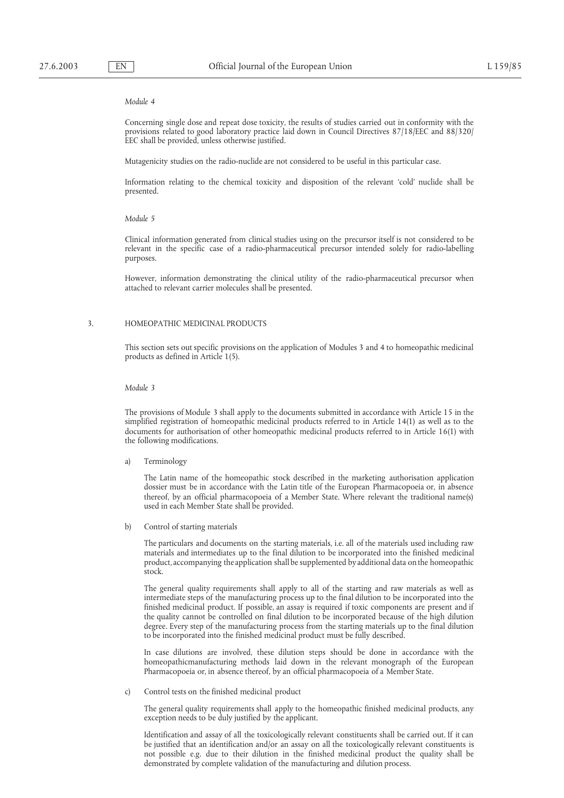#### *Module 4*

Concerning single dose and repeat dose toxicity, the results of studies carried out in conformity with the provisions related to good laboratory practice laid down in Council Directives 87/18/EEC and 88/320/ EEC shall be provided, unless otherwise justified.

Mutagenicity studies on the radio-nuclide are not considered to be useful in this particular case.

Information relating to the chemical toxicity and disposition of the relevant 'cold' nuclide shall be presented.

#### *Module 5*

Clinical information generated from clinical studies using on the precursor itself is not considered to be relevant in the specific case of a radio-pharmaceutical precursor intended solely for radio-labelling purposes.

However, information demonstrating the clinical utility of the radio-pharmaceutical precursor when attached to relevant carrier molecules shall be presented.

#### 3. HOMEOPATHIC MEDICINAL PRODUCTS

This section sets out specific provisions on the application of Modules 3 and 4 to homeopathic medicinal products as defined in Article 1(5).

*Module 3*

The provisions of Module 3 shall apply to the documents submitted in accordance with Article 15 in the simplified registration of homeopathic medicinal products referred to in Article 14(1) as well as to the documents for authorisation of other homeopathic medicinal products referred to in Article 16(1) with the following modifications.

a) Terminology

The Latin name of the homeopathic stock described in the marketing authorisation application dossier must be in accordance with the Latin title of the European Pharmacopoeia or, in absence thereof, by an official pharmacopoeia of a Member State. Where relevant the traditional name(s) used in each Member State shall be provided.

b) Control of starting materials

The particulars and documents on the starting materials, i.e. all of the materials used including raw materials and intermediates up to the final dilution to be incorporated into the finished medicinal product, accompanying the application shall be supplemented by additional data on the homeopathic stock.

The general quality requirements shall apply to all of the starting and raw materials as well as intermediate steps of the manufacturing process up to the final dilution to be incorporated into the finished medicinal product. If possible, an assay is required if toxic components are present and if the quality cannot be controlled on final dilution to be incorporated because of the high dilution degree. Every step of the manufacturing process from the starting materials up to the final dilution to be incorporated into the finished medicinal product must be fully described.

In case dilutions are involved, these dilution steps should be done in accordance with the homeopathicmanufacturing methods laid down in the relevant monograph of the European Pharmacopoeia or, in absence thereof, by an official pharmacopoeia of a Member State.

c) Control tests on the finished medicinal product

The general quality requirements shall apply to the homeopathic finished medicinal products, any exception needs to be duly justified by the applicant.

Identification and assay of all the toxicologically relevant constituents shall be carried out. If it can be justified that an identification and/or an assay on all the toxicologically relevant constituents is not possible e.g. due to their dilution in the finished medicinal product the quality shall be demonstrated by complete validation of the manufacturing and dilution process.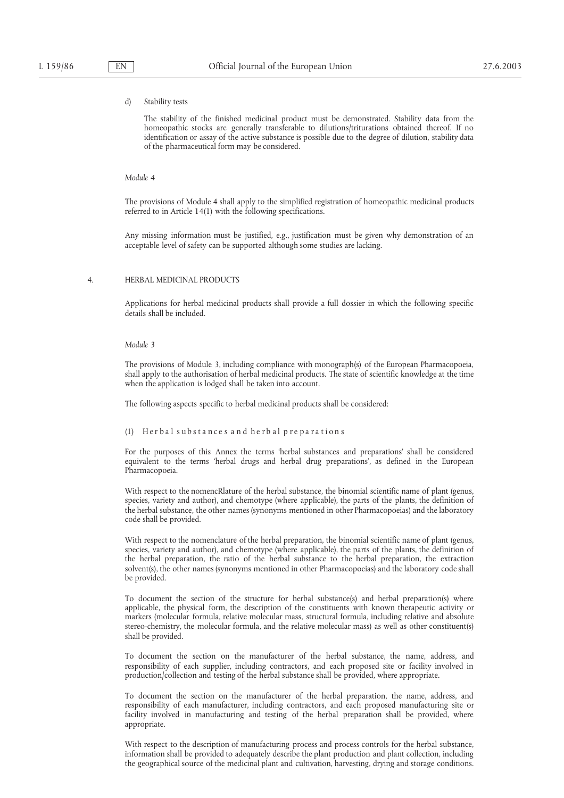## d) Stability tests

The stability of the finished medicinal product must be demonstrated. Stability data from the homeopathic stocks are generally transferable to dilutions/triturations obtained thereof. If no identification or assay of the active substance is possible due to the degree of dilution, stability data of the pharmaceutical form may be considered.

#### *Module 4*

The provisions of Module 4 shall apply to the simplified registration of homeopathic medicinal products referred to in Article 14(1) with the following specifications.

Any missing information must be justified, e.g., justification must be given why demonstration of an acceptable level of safety can be supported although some studies are lacking.

#### 4. HERBAL MEDICINAL PRODUCTS

Applications for herbal medicinal products shall provide a full dossier in which the following specific details shall be included.

#### *Module 3*

The provisions of Module 3, including compliance with monograph(s) of the European Pharmacopoeia, shall apply to the authorisation of herbal medicinal products. The state of scientific knowledge at the time when the application is lodged shall be taken into account.

The following aspects specific to herbal medicinal products shall be considered:

## $(1)$  Herbal substances and herbal preparations

For the purposes of this Annex the terms 'herbal substances and preparations' shall be considered equivalent to the terms 'herbal drugs and herbal drug preparations', as defined in the European Pharmacopoeia.

With respect to the nomencRlature of the herbal substance, the binomial scientific name of plant (genus, species, variety and author), and chemotype (where applicable), the parts of the plants, the definition of the herbal substance, the other names (synonyms mentioned in other Pharmacopoeias) and the laboratory code shall be provided.

With respect to the nomenclature of the herbal preparation, the binomial scientific name of plant (genus, species, variety and author), and chemotype (where applicable), the parts of the plants, the definition of the herbal preparation, the ratio of the herbal substance to the herbal preparation, the extraction solvent(s), the other names (synonyms mentioned in other Pharmacopoeias) and the laboratory code shall be provided.

To document the section of the structure for herbal substance(s) and herbal preparation(s) where applicable, the physical form, the description of the constituents with known therapeutic activity or markers (molecular formula, relative molecular mass, structural formula, including relative and absolute stereo-chemistry, the molecular formula, and the relative molecular mass) as well as other constituent(s) shall be provided.

To document the section on the manufacturer of the herbal substance, the name, address, and responsibility of each supplier, including contractors, and each proposed site or facility involved in production/collection and testing of the herbal substance shall be provided, where appropriate.

To document the section on the manufacturer of the herbal preparation, the name, address, and responsibility of each manufacturer, including contractors, and each proposed manufacturing site or facility involved in manufacturing and testing of the herbal preparation shall be provided, where appropriate.

With respect to the description of manufacturing process and process controls for the herbal substance, information shall be provided to adequately describe the plant production and plant collection, including the geographical source of the medicinal plant and cultivation, harvesting, drying and storage conditions.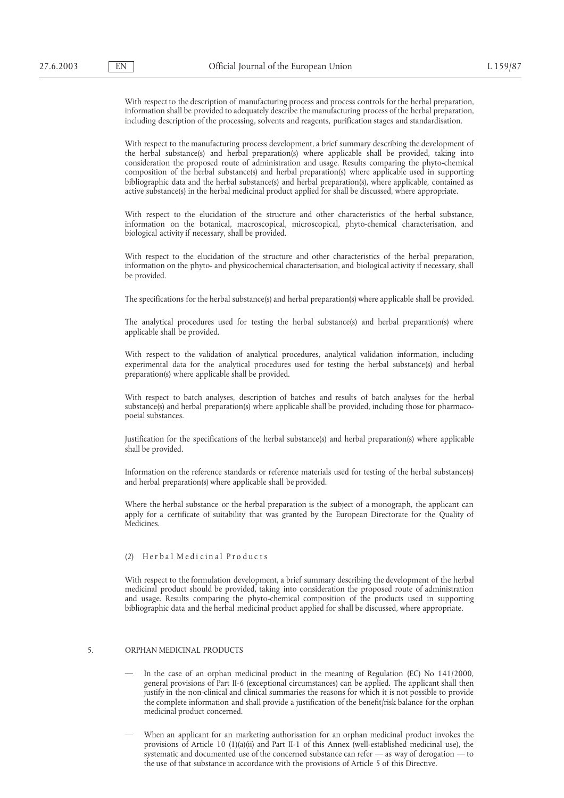With respect to the description of manufacturing process and process controls for the herbal preparation, information shall be provided to adequately describe the manufacturing process of the herbal preparation, including description of the processing, solvents and reagents, purification stages and standardisation.

With respect to the manufacturing process development, a brief summary describing the development of the herbal substance(s) and herbal preparation(s) where applicable shall be provided, taking into consideration the proposed route of administration and usage. Results comparing the phyto-chemical composition of the herbal substance(s) and herbal preparation(s) where applicable used in supporting bibliographic data and the herbal substance(s) and herbal preparation(s), where applicable, contained as active substance(s) in the herbal medicinal product applied for shall be discussed, where appropriate.

With respect to the elucidation of the structure and other characteristics of the herbal substance, information on the botanical, macroscopical, microscopical, phyto-chemical characterisation, and biological activity if necessary, shall be provided.

With respect to the elucidation of the structure and other characteristics of the herbal preparation, information on the phyto- and physicochemical characterisation, and biological activity if necessary, shall be provided.

The specifications for the herbal substance(s) and herbal preparation(s) where applicable shall be provided.

The analytical procedures used for testing the herbal substance(s) and herbal preparation(s) where applicable shall be provided.

With respect to the validation of analytical procedures, analytical validation information, including experimental data for the analytical procedures used for testing the herbal substance(s) and herbal preparation(s) where applicable shall be provided.

With respect to batch analyses, description of batches and results of batch analyses for the herbal substance(s) and herbal preparation(s) where applicable shall be provided, including those for pharmacopoeial substances.

Justification for the specifications of the herbal substance(s) and herbal preparation(s) where applicable shall be provided.

Information on the reference standards or reference materials used for testing of the herbal substance(s) and herbal preparation(s) where applicable shall be provided.

Where the herbal substance or the herbal preparation is the subject of a monograph, the applicant can apply for a certificate of suitability that was granted by the European Directorate for the Quality of Medicines.

# (2) Herbal Medicinal Products

With respect to the formulation development, a brief summary describing the development of the herbal medicinal product should be provided, taking into consideration the proposed route of administration and usage. Results comparing the phyto-chemical composition of the products used in supporting bibliographic data and the herbal medicinal product applied for shall be discussed, where appropriate.

# 5. ORPHAN MEDICINAL PRODUCTS

- In the case of an orphan medicinal product in the meaning of Regulation (EC) No 141/2000, general provisions of Part II-6 (exceptional circumstances) can be applied. The applicant shall then justify in the non-clinical and clinical summaries the reasons for which it is not possible to provide the complete information and shall provide a justification of the benefit/risk balance for the orphan medicinal product concerned.
- When an applicant for an marketing authorisation for an orphan medicinal product invokes the provisions of Article 10 (1)(a)(ii) and Part II-1 of this Annex (well-established medicinal use), the systematic and documented use of the concerned substance can refer — as way of derogation — to the use of that substance in accordance with the provisions of Article 5 of this Directive.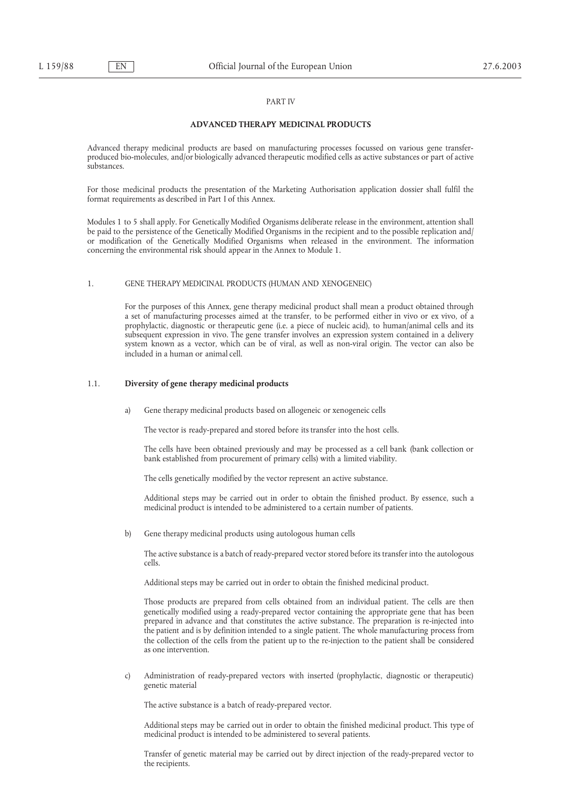## PART IV

#### **ADVANCED THERAPY MEDICINAL PRODUCTS**

Advanced therapy medicinal products are based on manufacturing processes focussed on various gene transferproduced bio-molecules, and/or biologically advanced therapeutic modified cells as active substances or part of active substances.

For those medicinal products the presentation of the Marketing Authorisation application dossier shall fulfil the format requirements as described in Part I of this Annex.

Modules 1 to 5 shall apply. For Genetically Modified Organisms deliberate release in the environment, attention shall be paid to the persistence of the Genetically Modified Organisms in the recipient and to the possible replication and/ or modification of the Genetically Modified Organisms when released in the environment. The information concerning the environmental risk should appear in the Annex to Module 1.

#### 1. GENE THERAPY MEDICINAL PRODUCTS (HUMAN AND XENOGENEIC)

For the purposes of this Annex, gene therapy medicinal product shall mean a product obtained through a set of manufacturing processes aimed at the transfer, to be performed either in vivo or ex vivo, of a prophylactic, diagnostic or therapeutic gene (i.e. a piece of nucleic acid), to human/animal cells and its subsequent expression in vivo. The gene transfer involves an expression system contained in a delivery system known as a vector, which can be of viral, as well as non-viral origin. The vector can also be included in a human or animal cell.

## 1.1. **Diversity of gene therapy medicinal products**

a) Gene therapy medicinal products based on allogeneic or xenogeneic cells

The vector is ready-prepared and stored before its transfer into the host cells.

The cells have been obtained previously and may be processed as a cell bank (bank collection or bank established from procurement of primary cells) with a limited viability.

The cells genetically modified by the vector represent an active substance.

Additional steps may be carried out in order to obtain the finished product. By essence, such a medicinal product is intended to be administered to a certain number of patients.

b) Gene therapy medicinal products using autologous human cells

The active substance is a batch of ready-prepared vector stored before its transfer into the autologous cells.

Additional steps may be carried out in order to obtain the finished medicinal product.

Those products are prepared from cells obtained from an individual patient. The cells are then genetically modified using a ready-prepared vector containing the appropriate gene that has been prepared in advance and that constitutes the active substance. The preparation is re-injected into the patient and is by definition intended to a single patient. The whole manufacturing process from the collection of the cells from the patient up to the re-injection to the patient shall be considered as one intervention.

c) Administration of ready-prepared vectors with inserted (prophylactic, diagnostic or therapeutic) genetic material

The active substance is a batch of ready-prepared vector.

Additional steps may be carried out in order to obtain the finished medicinal product. This type of medicinal product is intended to be administered to several patients.

Transfer of genetic material may be carried out by direct injection of the ready-prepared vector to the recipients.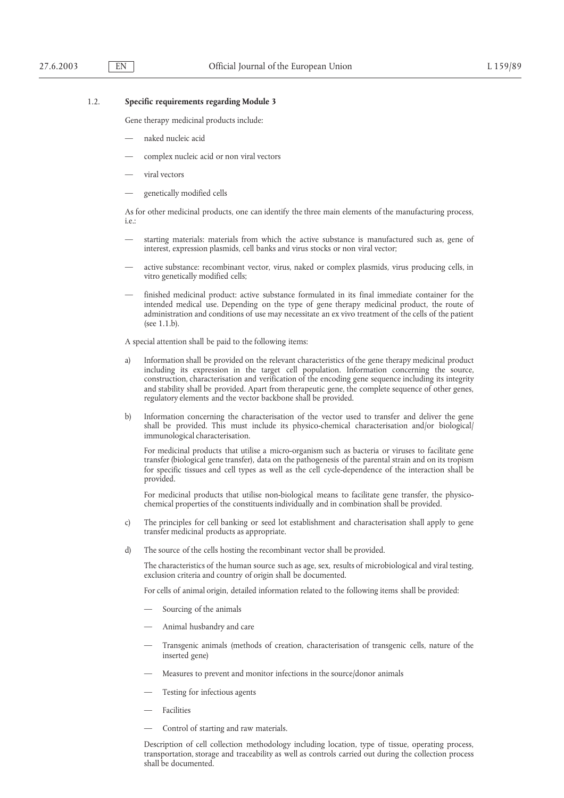#### 1.2. **Specific requirements regarding Module 3**

Gene therapy medicinal products include:

- naked nucleic acid
- complex nucleic acid or non viral vectors
- viral vectors
- genetically modified cells

As for other medicinal products, one can identify the three main elements of the manufacturing process, i.e.:

- starting materials: materials from which the active substance is manufactured such as, gene of interest, expression plasmids, cell banks and virus stocks or non viral vector;
- active substance: recombinant vector, virus, naked or complex plasmids, virus producing cells, in vitro genetically modified cells;
- finished medicinal product: active substance formulated in its final immediate container for the intended medical use. Depending on the type of gene therapy medicinal product, the route of administration and conditions of use may necessitate an ex vivo treatment of the cells of the patient (see 1.1.b).

A special attention shall be paid to the following items:

- a) Information shall be provided on the relevant characteristics of the gene therapy medicinal product including its expression in the target cell population. Information concerning the source, construction, characterisation and verification of the encoding gene sequence including its integrity and stability shall be provided. Apart from therapeutic gene, the complete sequence of other genes, regulatory elements and the vector backbone shall be provided.
- b) Information concerning the characterisation of the vector used to transfer and deliver the gene shall be provided. This must include its physico-chemical characterisation and/or biological/ immunological characterisation.

For medicinal products that utilise a micro-organism such as bacteria or viruses to facilitate gene transfer (biological gene transfer), data on the pathogenesis of the parental strain and on its tropism for specific tissues and cell types as well as the cell cycle-dependence of the interaction shall be provided.

For medicinal products that utilise non-biological means to facilitate gene transfer, the physicochemical properties of the constituents individually and in combination shall be provided.

- c) The principles for cell banking or seed lot establishment and characterisation shall apply to gene transfer medicinal products as appropriate.
- d) The source of the cells hosting the recombinant vector shall be provided.

The characteristics of the human source such as age, sex, results of microbiological and viral testing, exclusion criteria and country of origin shall be documented.

For cells of animal origin, detailed information related to the following items shall be provided:

- Sourcing of the animals
- Animal husbandry and care
- Transgenic animals (methods of creation, characterisation of transgenic cells, nature of the inserted gene)
- Measures to prevent and monitor infections in the source/donor animals
- Testing for infectious agents
- **Facilities**
- Control of starting and raw materials.

Description of cell collection methodology including location, type of tissue, operating process, transportation, storage and traceability as well as controls carried out during the collection process shall be documented.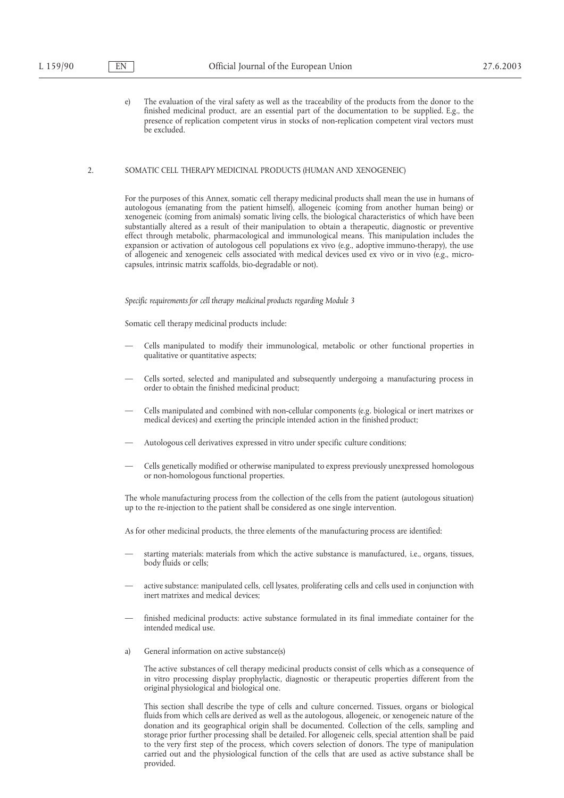e) The evaluation of the viral safety as well as the traceability of the products from the donor to the finished medicinal product, are an essential part of the documentation to be supplied. E.g., the presence of replication competent virus in stocks of non-replication competent viral vectors must be excluded.

## 2. SOMATIC CELL THERAPY MEDICINAL PRODUCTS (HUMAN AND XENOGENEIC)

For the purposes of this Annex, somatic cell therapy medicinal products shall mean the use in humans of autologous (emanating from the patient himself), allogeneic (coming from another human being) or xenogeneic (coming from animals) somatic living cells, the biological characteristics of which have been substantially altered as a result of their manipulation to obtain a therapeutic, diagnostic or preventive effect through metabolic, pharmacological and immunological means. This manipulation includes the expansion or activation of autologous cell populations ex vivo (e.g., adoptive immuno-therapy), the use of allogeneic and xenogeneic cells associated with medical devices used ex vivo or in vivo (e.g., microcapsules, intrinsic matrix scaffolds, bio-degradable or not).

*Specific requirements for cell therapy medicinal products regarding Module 3*

Somatic cell therapy medicinal products include:

- Cells manipulated to modify their immunological, metabolic or other functional properties in qualitative or quantitative aspects;
- Cells sorted, selected and manipulated and subsequently undergoing a manufacturing process in order to obtain the finished medicinal product;
- Cells manipulated and combined with non-cellular components (e.g. biological or inert matrixes or medical devices) and exerting the principle intended action in the finished product;
- Autologous cell derivatives expressed in vitro under specific culture conditions;
- Cells genetically modified or otherwise manipulated to express previously unexpressed homologous or non-homologous functional properties.

The whole manufacturing process from the collection of the cells from the patient (autologous situation) up to the re-injection to the patient shall be considered as one single intervention.

As for other medicinal products, the three elements of the manufacturing process are identified:

- starting materials: materials from which the active substance is manufactured, i.e., organs, tissues, body fluids or cells;
- active substance: manipulated cells, cell lysates, proliferating cells and cells used in conjunction with inert matrixes and medical devices;
- finished medicinal products: active substance formulated in its final immediate container for the intended medical use.
- a) General information on active substance(s)

The active substances of cell therapy medicinal products consist of cells which as a consequence of in vitro processing display prophylactic, diagnostic or therapeutic properties different from the original physiological and biological one.

This section shall describe the type of cells and culture concerned. Tissues, organs or biological fluids from which cells are derived as well as the autologous, allogeneic, or xenogeneic nature of the donation and its geographical origin shall be documented. Collection of the cells, sampling and storage prior further processing shall be detailed. For allogeneic cells, special attention shall be paid to the very first step of the process, which covers selection of donors. The type of manipulation carried out and the physiological function of the cells that are used as active substance shall be provided.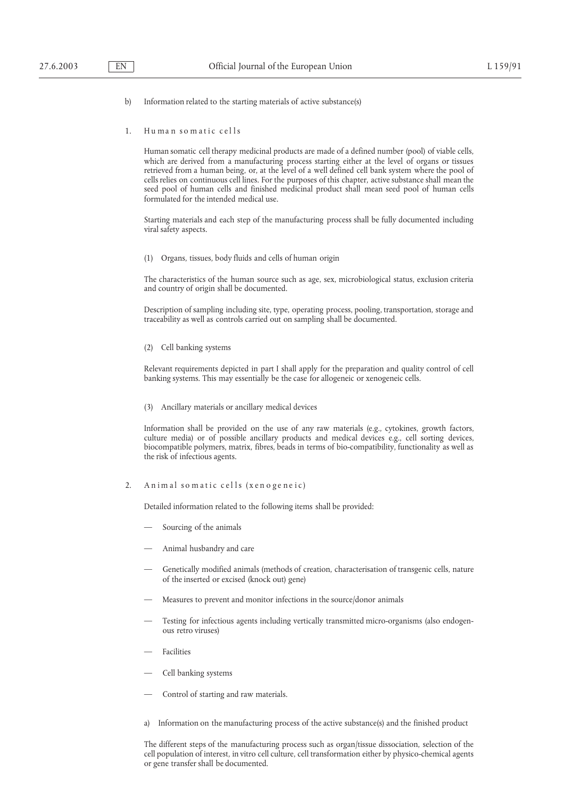- b) Information related to the starting materials of active substance(s)
- 1. Human somatic cells

Human somatic cell therapy medicinal products are made of a defined number (pool) of viable cells, which are derived from a manufacturing process starting either at the level of organs or tissues retrieved from a human being, or, at the level of a well defined cell bank system where the pool of cells relies on continuous cell lines. For the purposes of this chapter, active substance shall mean the seed pool of human cells and finished medicinal product shall mean seed pool of human cells formulated for the intended medical use.

Starting materials and each step of the manufacturing process shall be fully documented including viral safety aspects.

(1) Organs, tissues, body fluids and cells of human origin

The characteristics of the human source such as age, sex, microbiological status, exclusion criteria and country of origin shall be documented.

Description of sampling including site, type, operating process, pooling, transportation, storage and traceability as well as controls carried out on sampling shall be documented.

(2) Cell banking systems

Relevant requirements depicted in part I shall apply for the preparation and quality control of cell banking systems. This may essentially be the case for allogeneic or xenogeneic cells.

(3) Ancillary materials or ancillary medical devices

Information shall be provided on the use of any raw materials (e.g., cytokines, growth factors, culture media) or of possible ancillary products and medical devices e.g., cell sorting devices, biocompatible polymers, matrix, fibres, beads in terms of bio-compatibility, functionality as well as the risk of infectious agents.

## 2. Animal somatic cells (xenogeneic)

Detailed information related to the following items shall be provided:

- Sourcing of the animals
- Animal husbandry and care
- Genetically modified animals (methods of creation, characterisation of transgenic cells, nature of the inserted or excised (knock out) gene)
- Measures to prevent and monitor infections in the source/donor animals
- Testing for infectious agents including vertically transmitted micro-organisms (also endogenous retro viruses)
- **Facilities**
- Cell banking systems
- Control of starting and raw materials.
- a) Information on the manufacturing process of the active substance(s) and the finished product

The different steps of the manufacturing process such as organ/tissue dissociation, selection of the cell population of interest, in vitro cell culture, cell transformation either by physico-chemical agents or gene transfer shall be documented.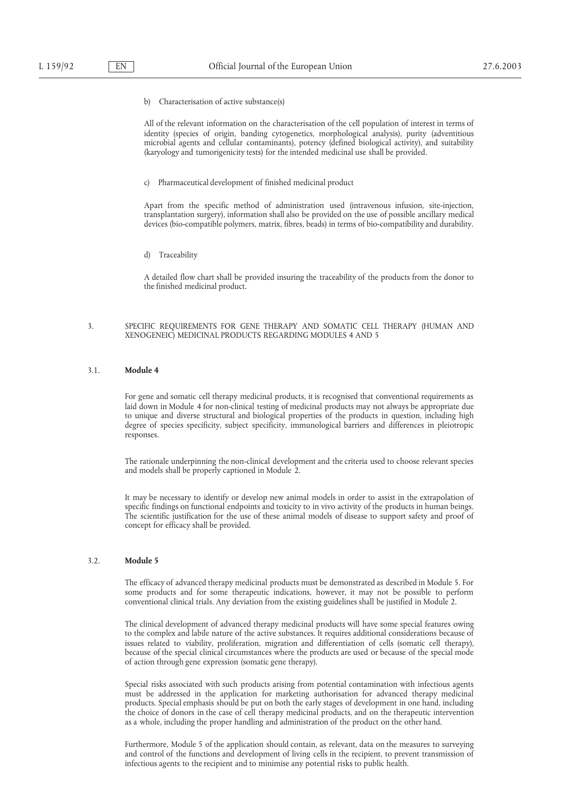b) Characterisation of active substance(s)

All of the relevant information on the characterisation of the cell population of interest in terms of identity (species of origin, banding cytogenetics, morphological analysis), purity (adventitious microbial agents and cellular contaminants), potency (defined biological activity), and suitability (karyology and tumorigenicity tests) for the intended medicinal use shall be provided.

c) Pharmaceutical development of finished medicinal product

Apart from the specific method of administration used (intravenous infusion, site-injection, transplantation surgery), information shall also be provided on the use of possible ancillary medical devices (bio-compatible polymers, matrix, fibres, beads) in terms of bio-compatibility and durability.

d) Traceability

A detailed flow chart shall be provided insuring the traceability of the products from the donor to the finished medicinal product.

#### 3. SPECIFIC REQUIREMENTS FOR GENE THERAPY AND SOMATIC CELL THERAPY (HUMAN AND XENOGENEIC) MEDICINAL PRODUCTS REGARDING MODULES 4 AND 5

## 3.1. **Module 4**

For gene and somatic cell therapy medicinal products, it is recognised that conventional requirements as laid down in Module 4 for non-clinical testing of medicinal products may not always be appropriate due to unique and diverse structural and biological properties of the products in question, including high degree of species specificity, subject specificity, immunological barriers and differences in pleiotropic responses.

The rationale underpinning the non-clinical development and the criteria used to choose relevant species and models shall be properly captioned in Module 2.

It may be necessary to identify or develop new animal models in order to assist in the extrapolation of specific findings on functional endpoints and toxicity to in vivo activity of the products in human beings. The scientific justification for the use of these animal models of disease to support safety and proof of concept for efficacy shall be provided.

#### 3.2. **Module 5**

The efficacy of advanced therapy medicinal products must be demonstrated as described in Module 5. For some products and for some therapeutic indications, however, it may not be possible to perform conventional clinical trials. Any deviation from the existing guidelines shall be justified in Module 2.

The clinical development of advanced therapy medicinal products will have some special features owing to the complex and labile nature of the active substances. It requires additional considerations because of issues related to viability, proliferation, migration and differentiation of cells (somatic cell therapy), because of the special clinical circumstances where the products are used or because of the special mode of action through gene expression (somatic gene therapy).

Special risks associated with such products arising from potential contamination with infectious agents must be addressed in the application for marketing authorisation for advanced therapy medicinal products. Special emphasis should be put on both the early stages of development in one hand, including the choice of donors in the case of cell therapy medicinal products, and on the therapeutic intervention as a whole, including the proper handling and administration of the product on the other hand.

Furthermore, Module 5 of the application should contain, as relevant, data on the measures to surveying and control of the functions and development of living cells in the recipient, to prevent transmission of infectious agents to the recipient and to minimise any potential risks to public health.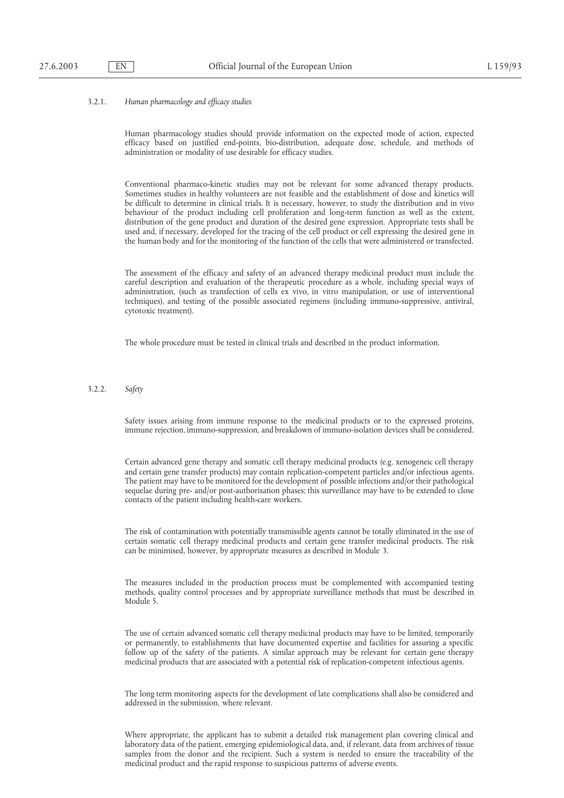## 3.2.1. *Human pharmacology and efficacy studies*

Human pharmacology studies should provide information on the expected mode of action, expected efficacy based on justified end-points, bio-distribution, adequate dose, schedule, and methods of administration or modality of use desirable for efficacy studies.

Conventional pharmaco-kinetic studies may not be relevant for some advanced therapy products. Sometimes studies in healthy volunteers are not feasible and the establishment of dose and kinetics will be difficult to determine in clinical trials. It is necessary, however, to study the distribution and in vivo behaviour of the product including cell proliferation and long-term function as well as the extent, distribution of the gene product and duration of the desired gene expression. Appropriate tests shall be used and, if necessary, developed for the tracing of the cell product or cell expressing the desired gene in the human body and for the monitoring of the function of the cells that were administered or transfected.

The assessment of the efficacy and safety of an advanced therapy medicinal product must include the careful description and evaluation of the therapeutic procedure as a whole, including special ways of administration, (such as transfection of cells ex vivo, in vitro manipulation, or use of interventional techniques), and testing of the possible associated regimens (including immuno-suppressive, antiviral, cytotoxic treatment).

The whole procedure must be tested in clinical trials and described in the product information.

## 3.2.2. *Safety*

Safety issues arising from immune response to the medicinal products or to the expressed proteins, immune rejection, immuno-suppression, and breakdown of immuno-isolation devices shall be considered.

Certain advanced gene therapy and somatic cell therapy medicinal products (e.g. xenogeneic cell therapy and certain gene transfer products) may contain replication-competent particles and/or infectious agents. The patient may have to be monitored for the development of possible infections and/or their pathological sequelae during pre- and/or post-authorisation phases; this surveillance may have to be extended to close contacts of the patient including health-care workers.

The risk of contamination with potentially transmissible agents cannot be totally eliminated in the use of certain somatic cell therapy medicinal products and certain gene transfer medicinal products. The risk can be minimised, however, by appropriate measures as described in Module 3.

The measures included in the production process must be complemented with accompanied testing methods, quality control processes and by appropriate surveillance methods that must be described in Module 5.

The use of certain advanced somatic cell therapy medicinal products may have to be limited, temporarily or permanently, to establishments that have documented expertise and facilities for assuring a specific follow up of the safety of the patients. A similar approach may be relevant for certain gene therapy medicinal products that are associated with a potential risk of replication-competent infectious agents.

The long term monitoring aspects for the development of late complications shall also be considered and addressed in the submission, where relevant.

Where appropriate, the applicant has to submit a detailed risk management plan covering clinical and laboratory data of the patient, emerging epidemiological data, and, if relevant, data from archives of tissue samples from the donor and the recipient. Such a system is needed to ensure the traceability of the medicinal product and the rapid response to suspicious patterns of adverse events.